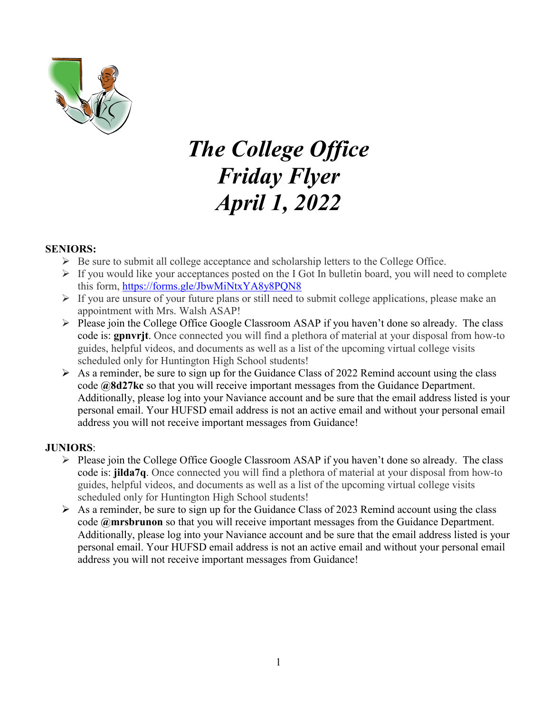

# *The College Office Friday Flyer April 1, 2022*

#### **SENIORS:**

- $\triangleright$  Be sure to submit all college acceptance and scholarship letters to the College Office.
- $\triangleright$  If you would like your acceptances posted on the I Got In bulletin board, you will need to complete this form,<https://forms.gle/JbwMiNtxYA8y8PQN8>
- $\triangleright$  If you are unsure of your future plans or still need to submit college applications, please make an appointment with Mrs. Walsh ASAP!
- $\triangleright$  Please join the College Office Google Classroom ASAP if you haven't done so already. The class code is: **gpnvrjt**. Once connected you will find a plethora of material at your disposal from how-to guides, helpful videos, and documents as well as a list of the upcoming virtual college visits scheduled only for Huntington High School students!
- $\triangleright$  As a reminder, be sure to sign up for the Guidance Class of 2022 Remind account using the class code **@8d27kc** so that you will receive important messages from the Guidance Department. Additionally, please log into your Naviance account and be sure that the email address listed is your personal email. Your HUFSD email address is not an active email and without your personal email address you will not receive important messages from Guidance!

#### **JUNIORS**:

- Please join the College Office Google Classroom ASAP if you haven't done so already. The class code is: **jilda7q**. Once connected you will find a plethora of material at your disposal from how-to guides, helpful videos, and documents as well as a list of the upcoming virtual college visits scheduled only for Huntington High School students!
- $\triangleright$  As a reminder, be sure to sign up for the Guidance Class of 2023 Remind account using the class code **@mrsbrunon** so that you will receive important messages from the Guidance Department. Additionally, please log into your Naviance account and be sure that the email address listed is your personal email. Your HUFSD email address is not an active email and without your personal email address you will not receive important messages from Guidance!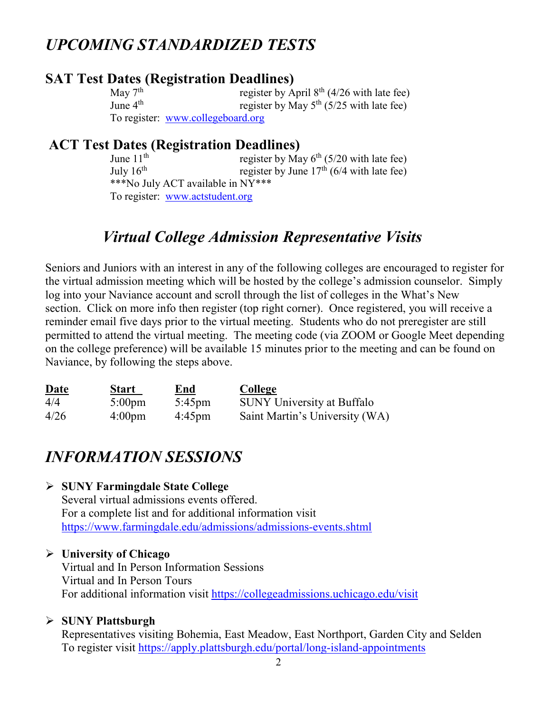## *UPCOMING STANDARDIZED TESTS*

## **SAT Test Dates (Registration Deadlines)**<br>May 7<sup>th</sup> register by A

May  $7^{\text{th}}$  register by April  $8^{\text{th}}$  (4/26 with late fee)<br>June  $4^{\text{th}}$  register by May  $5^{\text{th}}$  (5/25 with late fee) register by May  $5<sup>th</sup>$  (5/25 with late fee) To register: [www.collegeboard.org](http://www.collegeboard.org/)

# **ACT Test Dates (Registration Deadlines)**<br>June 11<sup>th</sup> register by Ma

register by May  $6<sup>th</sup>$  (5/20 with late fee) July  $16^{th}$  register by June  $17^{th}$  (6/4 with late fee) \*\*\*No July ACT available in NY\*\*\* To register: [www.actstudent.org](http://www.actstudent.org/)

## *Virtual College Admission Representative Visits*

Seniors and Juniors with an interest in any of the following colleges are encouraged to register for the virtual admission meeting which will be hosted by the college's admission counselor. Simply log into your Naviance account and scroll through the list of colleges in the What's New section. Click on more info then register (top right corner). Once registered, you will receive a reminder email five days prior to the virtual meeting. Students who do not preregister are still permitted to attend the virtual meeting. The meeting code (via ZOOM or Google Meet depending on the college preference) will be available 15 minutes prior to the meeting and can be found on Naviance, by following the steps above.

| <b>Date</b> | <u>Start</u>     | <u>End</u>       | <b>College</b>                    |
|-------------|------------------|------------------|-----------------------------------|
| 4/4         | $5:00 \text{pm}$ | $5:45 \text{pm}$ | <b>SUNY University at Buffalo</b> |
| 4/26        | $4:00 \text{pm}$ | $4:45 \text{pm}$ | Saint Martin's University (WA)    |

## *INFORMATION SESSIONS*

#### **SUNY Farmingdale State College**

Several virtual admissions events offered. For a complete list and for additional information visit <https://www.farmingdale.edu/admissions/admissions-events.shtml>

#### **University of Chicago**

Virtual and In Person Information Sessions Virtual and In Person Tours For additional information visit<https://collegeadmissions.uchicago.edu/visit>

#### **SUNY Plattsburgh**

Representatives visiting Bohemia, East Meadow, East Northport, Garden City and Selden To register visit<https://apply.plattsburgh.edu/portal/long-island-appointments>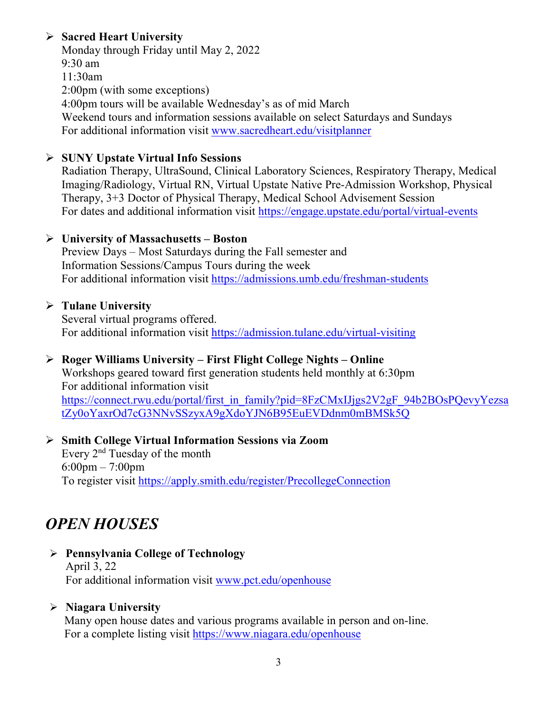#### **Sacred Heart University**

Monday through Friday until May 2, 2022 9:30 am 11:30am 2:00pm (with some exceptions) 4:00pm tours will be available Wednesday's as of mid March Weekend tours and information sessions available on select Saturdays and Sundays For additional information visit [www.sacredheart.edu/visitplanner](http://www.sacredheart.edu/visitplanner)

#### **SUNY Upstate Virtual Info Sessions**

Radiation Therapy, UltraSound, Clinical Laboratory Sciences, Respiratory Therapy, Medical Imaging/Radiology, Virtual RN, Virtual Upstate Native Pre-Admission Workshop, Physical Therapy, 3+3 Doctor of Physical Therapy, Medical School Advisement Session For dates and additional information visit<https://engage.upstate.edu/portal/virtual-events>

#### **University of Massachusetts – Boston**

Preview Days – Most Saturdays during the Fall semester and Information Sessions/Campus Tours during the week For additional information visit<https://admissions.umb.edu/freshman-students>

#### **Tulane University**

Several virtual programs offered. For additional information visit<https://admission.tulane.edu/virtual-visiting>

#### **Roger Williams University – First Flight College Nights – Online**

Workshops geared toward first generation students held monthly at 6:30pm For additional information visit https://connect.rwu.edu/portal/first\_in\_family?pid=8FzCMxIJjgs2V2gF\_94b2BOsPOevyYezsa [tZy0oYaxrOd7cG3NNvSSzyxA9gXdoYJN6B95EuEVDdnm0mBMSk5Q](https://connect.rwu.edu/portal/first_in_family?pid=8FzCMxIJjgs2V2gF_94b2BOsPQevyYezsatZy0oYaxrOd7cG3NNvSSzyxA9gXdoYJN6B95EuEVDdnm0mBMSk5Q)

#### **Smith College Virtual Information Sessions via Zoom** Every 2nd Tuesday of the month 6:00pm – 7:00pm To register visit<https://apply.smith.edu/register/PrecollegeConnection>

## *OPEN HOUSES*

#### **Pennsylvania College of Technology** April 3, 22 For additional information visit [www.pct.edu/openhouse](http://www.pct.edu/openhouse)

#### **Niagara University**

Many open house dates and various programs available in person and on-line. For a complete listing visit<https://www.niagara.edu/openhouse>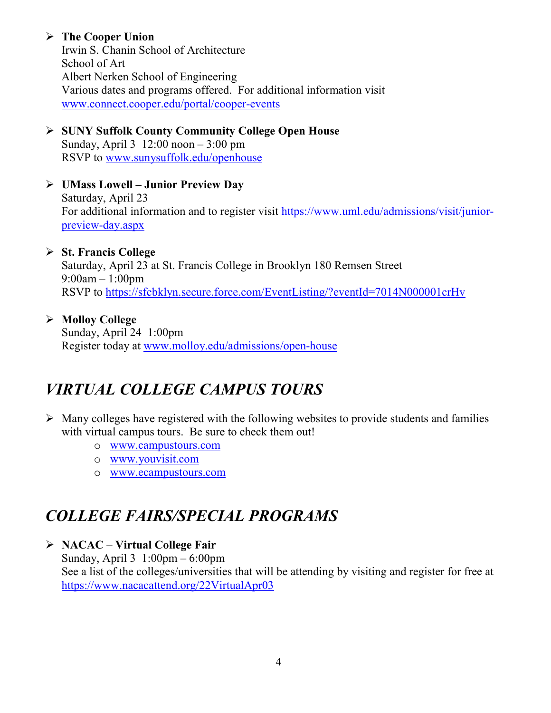#### **The Cooper Union**

Irwin S. Chanin School of Architecture School of Art Albert Nerken School of Engineering Various dates and programs offered. For additional information visit [www.connect.cooper.edu/portal/cooper-events](http://www.connect.cooper.edu/portal/cooper-events)

 **SUNY Suffolk County Community College Open House** Sunday, April 3 12:00 noon – 3:00 pm RSVP to [www.sunysuffolk.edu/openhouse](http://www.sunysuffolk.edu/openhouse)

#### **UMass Lowell – Junior Preview Day**

Saturday, April 23 For additional information and to register visit [https://www.uml.edu/admissions/visit/junior](https://www.uml.edu/admissions/visit/junior-preview-day.aspx)[preview-day.aspx](https://www.uml.edu/admissions/visit/junior-preview-day.aspx)

#### **St. Francis College**

Saturday, April 23 at St. Francis College in Brooklyn 180 Remsen Street 9:00am – 1:00pm RSVP to<https://sfcbklyn.secure.force.com/EventListing/?eventId=7014N000001crHv>

#### **Molloy College**

Sunday, April 24 1:00pm Register today at [www.molloy.edu/admissions/open-house](http://www.molloy.edu/admissions/open-house)

## *VIRTUAL COLLEGE CAMPUS TOURS*

- $\triangleright$  Many colleges have registered with the following websites to provide students and families with virtual campus tours. Be sure to check them out!
	- o [www.campustours.com](http://www.campustours.com/)
	- o [www.youvisit.com](http://www.youvisit.com/)
	- o [www.ecampustours.com](http://www.ecampustours.com/)

## *COLLEGE FAIRS/SPECIAL PROGRAMS*

#### **NACAC – Virtual College Fair**

Sunday, April 3 1:00pm – 6:00pm See a list of the colleges/universities that will be attending by visiting and register for free at <https://www.nacacattend.org/22VirtualApr03>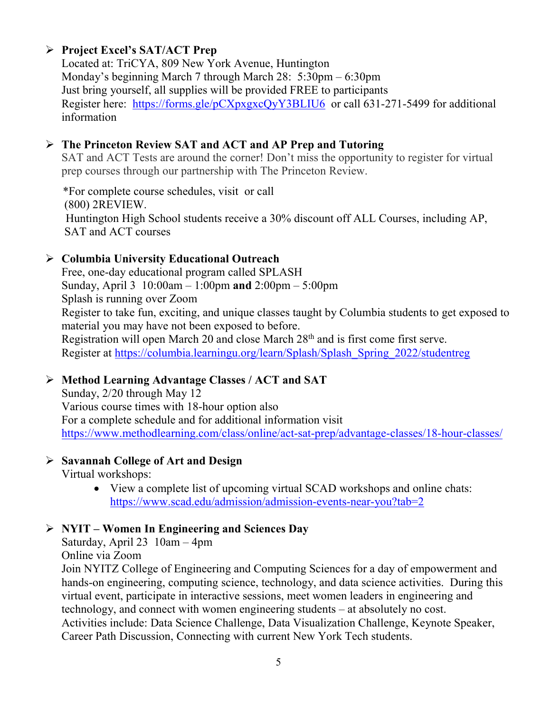#### **Project Excel's SAT/ACT Prep**

Located at: TriCYA, 809 New York Avenue, Huntington Monday's beginning March 7 through March 28: 5:30pm – 6:30pm Just bring yourself, all supplies will be provided FREE to participants Register here: <https://forms.gle/pCXpxgxcQyY3BLIU6>or call 631-271-5499 for additional information

#### **The Princeton Review SAT and ACT and AP Prep and Tutoring**

SAT and ACT Tests are around the corner! Don't miss the opportunity to register for virtual prep courses through our partnership with The Princeton Review.

 \*For complete course schedules, visit or call (800) 2REVIEW. Huntington High School students receive a 30% discount off ALL Courses, including AP, SAT and ACT courses

#### **Columbia University Educational Outreach**

Free, one-day educational program called SPLASH Sunday, April 3 10:00am – 1:00pm **and** 2:00pm – 5:00pm Splash is running over Zoom Register to take fun, exciting, and unique classes taught by Columbia students to get exposed to material you may have not been exposed to before. Registration will open March 20 and close March 28<sup>th</sup> and is first come first serve. Register at [https://columbia.learningu.org/learn/Splash/Splash\\_Spring\\_2022/studentreg](https://columbia.learningu.org/learn/Splash/Splash_Spring_2022/studentreg)

#### **Method Learning Advantage Classes / ACT and SAT**

Sunday, 2/20 through May 12 Various course times with 18-hour option also For a complete schedule and for additional information visit <https://www.methodlearning.com/class/online/act-sat-prep/advantage-classes/18-hour-classes/>

#### **Savannah College of Art and Design**

Virtual workshops:

• View a complete list of upcoming virtual SCAD workshops and online chats: <https://www.scad.edu/admission/admission-events-near-you?tab=2>

#### **NYIT – Women In Engineering and Sciences Day**

Saturday, April 23 10am – 4pm Online via Zoom

Join NYITZ College of Engineering and Computing Sciences for a day of empowerment and hands-on engineering, computing science, technology, and data science activities. During this virtual event, participate in interactive sessions, meet women leaders in engineering and technology, and connect with women engineering students – at absolutely no cost. Activities include: Data Science Challenge, Data Visualization Challenge, Keynote Speaker, Career Path Discussion, Connecting with current New York Tech students.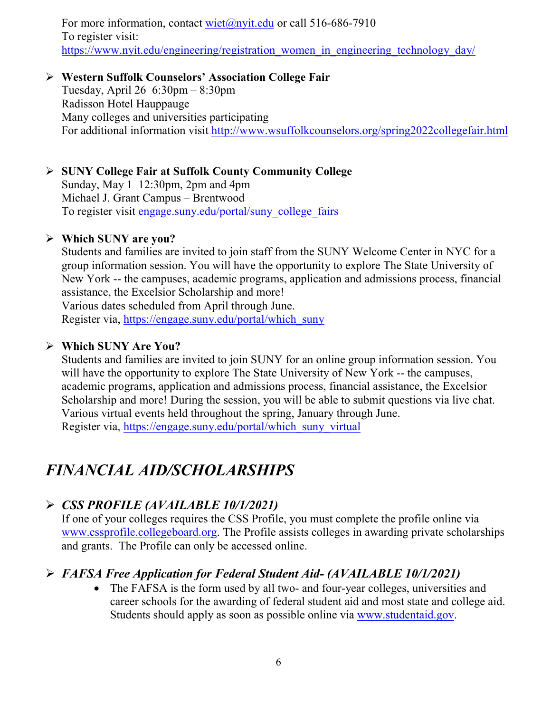For more information, contact [wiet@nyit.edu](mailto:wiet@nyit.edu) or call 516-686-7910 To register visit: [https://www.nyit.edu/engineering/registration\\_women\\_in\\_engineering\\_technology\\_day/](https://www.nyit.edu/engineering/registration_women_in_engineering_technology_day/)

#### **Western Suffolk Counselors' Association College Fair**

Tuesday, April 26 6:30pm – 8:30pm Radisson Hotel Hauppauge Many colleges and universities participating For additional information visit<http://www.wsuffolkcounselors.org/spring2022collegefair.html>

#### **SUNY College Fair at Suffolk County Community College**

Sunday, May 1 12:30pm, 2pm and 4pm Michael J. Grant Campus – Brentwood To register visit [engage.suny.edu/portal/suny\\_college\\_fairs](https://linkprotect.cudasvc.com/url?a=https%3a%2f%2fmx.technolutions.net%2fss%2fc%2fMpdRvhYDsdEMdWAl7Z5zUI3-tCpYlmeYtKdZv5fVth1fKkUeqA6ISwRqoViOZwW9R_D-NQSQKKuwFigl6PsIbw%2f3kn%2flyGGs_V4QqmnU26pNotLBA%2fh0%2f7Ui_ZwIhdWTKLRKzZv_Rfmb6Fs6ceyGaQqVi6i0NzBs&c=E,1,ys5hhDL1uFpWv012K9nco8g_utsk56fy_9ZYkToqBjtCD9VIRnVFaRRI1qEbhb4ySbYH4iboS9n7vl-H0pux2Qmoh2lEmD8BnUMGO412biOW-NigAzujR9Uw&typo=1)

#### **Which SUNY are you?**

Students and families are invited to join staff from the SUNY Welcome Center in NYC for a group information session. You will have the opportunity to explore The State University of New York -- the campuses, academic programs, application and admissions process, financial assistance, the Excelsior Scholarship and more!

Various dates scheduled from April through June.

Register via, [https://engage.suny.edu/portal/which\\_suny](https://engage.suny.edu/portal/which_suny)

#### **Which SUNY Are You?**

Students and families are invited to join SUNY for an online group information session. You will have the opportunity to explore The State University of New York -- the campuses, academic programs, application and admissions process, financial assistance, the Excelsior Scholarship and more! During the session, you will be able to submit questions via live chat. Various virtual events held throughout the spring, January through June. Register via, [https://engage.suny.edu/portal/which\\_suny\\_virtual](https://engage.suny.edu/portal/which_suny_virtual)

## *FINANCIAL AID/SCHOLARSHIPS*

#### *CSS PROFILE (AVAILABLE 10/1/2021)*

If one of your colleges requires the CSS Profile, you must complete the profile online via [www.cssprofile.collegeboard.org.](http://www.cssprofile.collegeboard.org/) The Profile assists colleges in awarding private scholarships and grants. The Profile can only be accessed online.

#### *FAFSA Free Application for Federal Student Aid- (AVAILABLE 10/1/2021)*

• The FAFSA is the form used by all two- and four-year colleges, universities and career schools for the awarding of [federal student aid](http://studentaid.ed.gov/students/publications/student_guide/2010-2011/english/typesofFSA_grants.htm) and most state and college aid. Students should apply as soon as possible online via [www.studentaid.gov.](http://www.studentaid.gov/)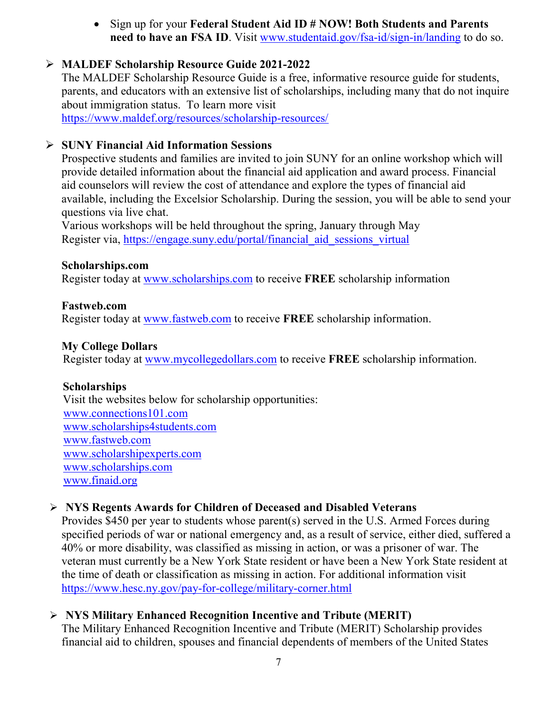• Sign up for your **Federal Student Aid ID # NOW! Both Students and Parents need to have an FSA ID**. Visit [www.studentaid.gov/fsa-id/sign-in/landing](http://www.studentaid.gov/fsa-id/sign-in/landing) to do so.

#### **MALDEF Scholarship Resource Guide 2021-2022**

The MALDEF Scholarship Resource Guide is a free, informative resource guide for students, parents, and educators with an extensive list of scholarships, including many that do not inquire about immigration status. To learn more visit <https://www.maldef.org/resources/scholarship-resources/>

#### **SUNY Financial Aid Information Sessions**

Prospective students and families are invited to join SUNY for an online workshop which will provide detailed information about the financial aid application and award process. Financial aid counselors will review the cost of attendance and explore the types of financial aid available, including the Excelsior Scholarship. During the session, you will be able to send your questions via live chat.

Various workshops will be held throughout the spring, January through May Register via, https://engage.suny.edu/portal/financial aid sessions virtual

#### **Scholarships.com**

Register today at [www.scholarships.com](http://www.scholarships.com/) to receive **FREE** scholarship information

#### **Fastweb.com**

Register today at [www.fastweb.com](http://www.fastweb.com/) to receive **FREE** scholarship information.

#### **My College Dollars**

Register today at [www.mycollegedollars.com](http://www.mycollegedollars.com/) to receive **FREE** scholarship information.

#### **Scholarships**

 Visit the websites below for scholarship opportunities: [www.connections101.com](http://www.connections101.com/) [www.scholarships4students.com](http://www.scholarships4students.com/) [www.fastweb.com](http://www.fastweb.com/) [www.scholarshipexperts.com](http://www.scholarshipexperts.com/) [www.scholarships.com](http://www.scholarships.com/) [www.finaid.org](http://www.finaid.org/)

#### **NYS Regents Awards for Children of Deceased and Disabled Veterans**

Provides \$450 per year to students whose parent(s) served in the U.S. Armed Forces during specified periods of war or national emergency and, as a result of service, either died, suffered a 40% or more disability, was classified as missing in action, or was a prisoner of war. The veteran must currently be a New York State resident or have been a New York State resident at the time of death or classification as missing in action. For additional information visit <https://www.hesc.ny.gov/pay-for-college/military-corner.html>

#### **NYS Military Enhanced Recognition Incentive and Tribute (MERIT)**

The Military Enhanced Recognition Incentive and Tribute (MERIT) Scholarship provides financial aid to children, spouses and financial dependents of members of the United States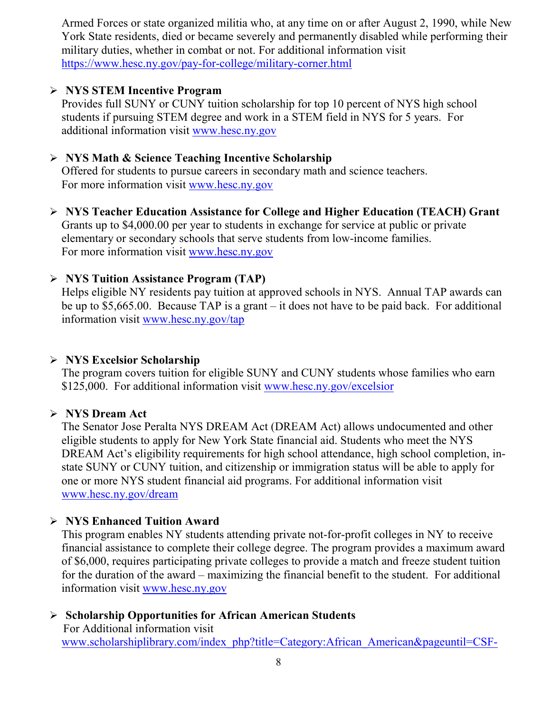Armed Forces or state organized militia who, at any time on or after August 2, 1990, while New York State residents, died or became severely and permanently disabled while performing their military duties, whether in combat or not. For additional information visit <https://www.hesc.ny.gov/pay-for-college/military-corner.html>

#### **NYS STEM Incentive Program**

Provides full SUNY or CUNY tuition scholarship for top 10 percent of NYS high school students if pursuing STEM degree and work in a STEM field in NYS for 5 years. For additional information visit [www.hesc.ny.gov](http://www.hesc.ny.gov/)

#### **NYS Math & Science Teaching Incentive Scholarship**

Offered for students to pursue careers in secondary math and science teachers. For more information visit [www.hesc.ny.gov](http://www.hesc.ny.gov/)

 **NYS Teacher Education Assistance for College and Higher Education (TEACH) Grant** Grants up to \$4,000.00 per year to students in exchange for service at public or private elementary or secondary schools that serve students from low-income families. For more information visit [www.hesc.ny.gov](http://www.hesc.ny.gov/) 

#### **NYS Tuition Assistance Program (TAP)**

Helps eligible NY residents pay tuition at approved schools in NYS. Annual TAP awards can be up to \$5,665.00. Because TAP is a grant – it does not have to be paid back. For additional information visit [www.hesc.ny.gov/tap](http://www.hesc.ny.gov/tap)

#### **NYS Excelsior Scholarship**

The program covers tuition for eligible SUNY and CUNY students whose families who earn \$125,000. For additional information visit [www.hesc.ny.gov/](http://www.hesc.ny.gov/)excelsior

#### **NYS Dream Act**

The Senator Jose Peralta NYS DREAM Act (DREAM Act) allows undocumented and other eligible students to apply for New York State financial aid. Students who meet the NYS DREAM Act's eligibility requirements for high school attendance, high school completion, instate SUNY or CUNY tuition, and citizenship or immigration status will be able to apply for one or more NYS student financial aid programs. For additional information visit [www.hesc.ny.gov/dream](http://www.hesc.ny.gov/dream)

#### **NYS Enhanced Tuition Award**

This program enables NY students attending private not-for-profit colleges in NY to receive financial assistance to complete their college degree. The program provides a maximum award of \$6,000, requires participating private colleges to provide a match and freeze student tuition for the duration of the award – maximizing the financial benefit to the student. For additional information visit [www.hesc.ny.gov](http://www.hesc.ny.gov/)

#### **Scholarship Opportunities for African American Students**

 For Additional information visit [www.scholarshiplibrary.com/index\\_php?title=Category:African\\_American&pageuntil=CSF-](http://www.scholarshiplibrary.com/index_php?title=Category:African_American&pageuntil=CSF-%20%20%20McCall+Educational+Foundation#mw-pages)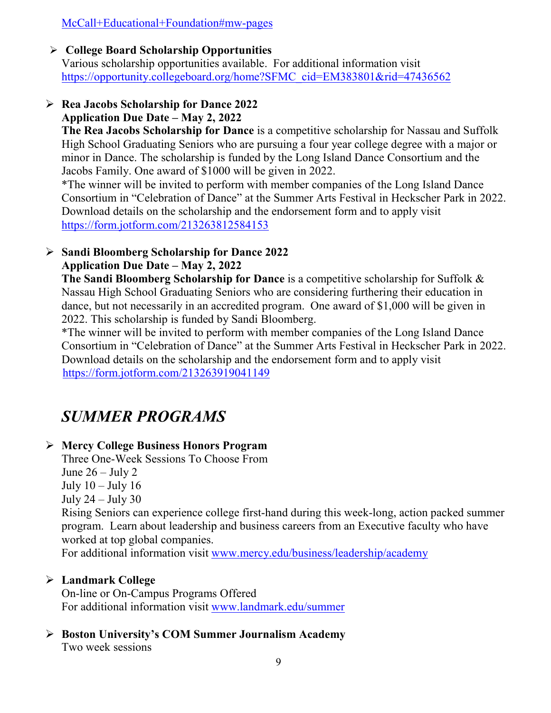[McCall+Educational+Foundation#mw-pages](http://www.scholarshiplibrary.com/index_php?title=Category:African_American&pageuntil=CSF-%20%20%20McCall+Educational+Foundation#mw-pages)

#### **College Board Scholarship Opportunities**

Various scholarship opportunities available. For additional information visit [https://opportunity.collegeboard.org/home?SFMC\\_cid=EM383801&rid=47436562](https://opportunity.collegeboard.org/home?SFMC_cid=EM383801&rid=47436562)

#### **Rea Jacobs Scholarship for Dance 2022 Application Due Date – May 2, 2022**

**The Rea Jacobs Scholarship for Dance** is a competitive scholarship for Nassau and Suffolk High School Graduating Seniors who are pursuing a four year college degree with a major or minor in Dance. The scholarship is funded by the Long Island Dance Consortium and the Jacobs Family. One award of \$1000 will be given in 2022.

\*The winner will be invited to perform with member companies of the Long Island Dance Consortium in "Celebration of Dance" at the Summer Arts Festival in Heckscher Park in 2022. Download details on the scholarship and the endorsement form and to apply visit <https://form.jotform.com/213263812584153>

#### **Sandi Bloomberg Scholarship for Dance 2022 Application Due Date – May 2, 2022**

**The Sandi Bloomberg Scholarship for Dance** is a competitive scholarship for Suffolk & Nassau High School Graduating Seniors who are considering furthering their education in dance, but not necessarily in an accredited program. One award of \$1,000 will be given in 2022. This scholarship is funded by Sandi Bloomberg.

\*The winner will be invited to perform with member companies of the Long Island Dance Consortium in "Celebration of Dance" at the Summer Arts Festival in Heckscher Park in 2022. Download details on the scholarship and the endorsement form and to apply visit <https://form.jotform.com/213263919041149>

## *SUMMER PROGRAMS*

#### **Mercy College Business Honors Program**

Three One-Week Sessions To Choose From June  $26 -$  July 2 July  $10 -$  July  $16$ July 24 – July 30 Rising Seniors can experience college first-hand during this week-long, action packed summer program. Learn about leadership and business careers from an Executive faculty who have worked at top global companies. For additional information visit [www.mercy.edu/business/leadership/academy](http://www.mercy.edu/business/leadership/academy)

#### **Landmark College**

On-line or On-Campus Programs Offered For additional information visit [www.landmark.edu/summer](http://www.landmark.edu/summer)

### **Boston University's COM Summer Journalism Academy**

Two week sessions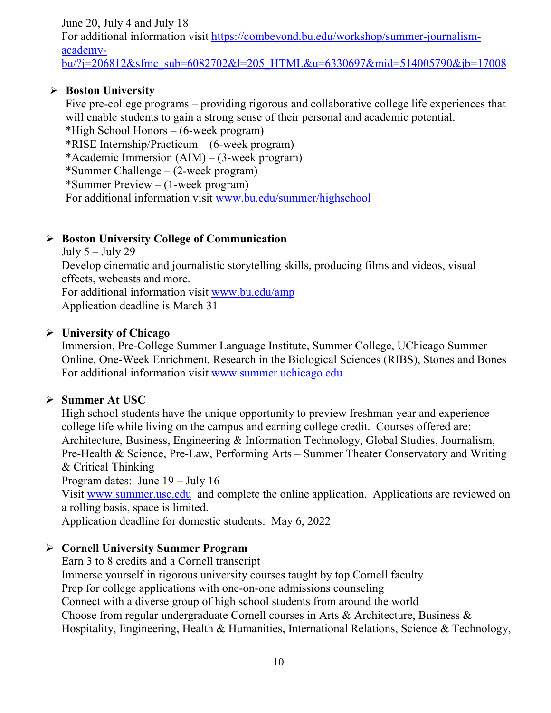June 20, July 4 and July 18 For additional information visit [https://combeyond.bu.edu/workshop/summer-journalism](https://combeyond.bu.edu/workshop/summer-journalism-academy-bu/?j=206812&sfmc_sub=6082702&l=205_HTML&u=6330697&mid=514005790&jb=17008)[academy](https://combeyond.bu.edu/workshop/summer-journalism-academy-bu/?j=206812&sfmc_sub=6082702&l=205_HTML&u=6330697&mid=514005790&jb=17008)[bu/?j=206812&sfmc\\_sub=6082702&l=205\\_HTML&u=6330697&mid=514005790&jb=17008](https://combeyond.bu.edu/workshop/summer-journalism-academy-bu/?j=206812&sfmc_sub=6082702&l=205_HTML&u=6330697&mid=514005790&jb=17008)

#### **Boston University**

Five pre-college programs – providing rigorous and collaborative college life experiences that will enable students to gain a strong sense of their personal and academic potential. \*High School Honors – (6-week program) \*RISE Internship/Practicum – (6-week program) \*Academic Immersion (AIM) – (3-week program) \*Summer Challenge – (2-week program) \*Summer Preview – (1-week program) For additional information visit [www.bu.edu/summer/highschool](http://www.bu.edu/summer/highschool)

#### **Boston University College of Communication**

July  $5 -$  July 29 Develop cinematic and journalistic storytelling skills, producing films and videos, visual effects, webcasts and more. For additional information visit [www.bu.edu/amp](http://www.bu.edu/amp) Application deadline is March 31

#### **University of Chicago**

Immersion, Pre-College Summer Language Institute, Summer College, UChicago Summer Online, One-Week Enrichment, Research in the Biological Sciences (RIBS), Stones and Bones For additional information visit [www.summer.uchicago.edu](http://www.summer.uchicago.edu/)

#### **Summer At USC**

High school students have the unique opportunity to preview freshman year and experience college life while living on the campus and earning college credit. Courses offered are: Architecture, Business, Engineering & Information Technology, Global Studies, Journalism, Pre-Health & Science, Pre-Law, Performing Arts – Summer Theater Conservatory and Writing & Critical Thinking Program dates: June 19 – July 16 Visit [www.summer.usc.edu](http://www.summer.usc.edu/) and complete the online application. Applications are reviewed on a rolling basis, space is limited.

Application deadline for domestic students: May 6, 2022

#### **Cornell University Summer Program**

Earn 3 to 8 credits and a Cornell transcript Immerse yourself in rigorous university courses taught by top Cornell faculty Prep for college applications with one-on-one admissions counseling Connect with a diverse group of high school students from around the world Choose from regular undergraduate Cornell courses in Arts & Architecture, Business & Hospitality, Engineering, Health & Humanities, International Relations, Science & Technology,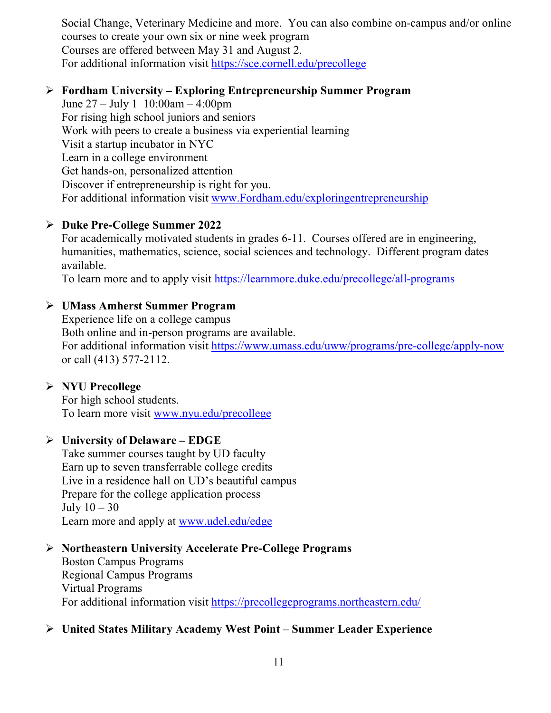Social Change, Veterinary Medicine and more. You can also combine on-campus and/or online courses to create your own six or nine week program Courses are offered between May 31 and August 2. For additional information visit<https://sce.cornell.edu/precollege>

#### **Fordham University – Exploring Entrepreneurship Summer Program**

June 27 – July 1 10:00am – 4:00pm For rising high school juniors and seniors Work with peers to create a business via experiential learning Visit a startup incubator in NYC Learn in a college environment Get hands-on, personalized attention Discover if entrepreneurship is right for you. For additional information visit [www.Fordham.edu/exploringentrepreneurship](http://www.fordham.edu/exploringentrepreneurship)

#### **Duke Pre-College Summer 2022**

For academically motivated students in grades 6-11. Courses offered are in engineering, humanities, mathematics, science, social sciences and technology. Different program dates available.

To learn more and to apply visit<https://learnmore.duke.edu/precollege/all-programs>

#### **UMass Amherst Summer Program**

Experience life on a college campus Both online and in-person programs are available. For additional information visit<https://www.umass.edu/uww/programs/pre-college/apply-now> or call (413) 577-2112.

#### **NYU Precollege**

For high school students. To learn more visit [www.nyu.edu/precollege](http://www.nyu.edu/precollege)

#### **University of Delaware – EDGE**

Take summer courses taught by UD faculty Earn up to seven transferrable college credits Live in a residence hall on UD's beautiful campus Prepare for the college application process July  $10 - 30$ Learn more and apply at [www.udel.edu/edge](http://www.udel.edu/edge)

#### **Northeastern University Accelerate Pre-College Programs**

Boston Campus Programs Regional Campus Programs Virtual Programs For additional information visit<https://precollegeprograms.northeastern.edu/>

#### **United States Military Academy West Point – Summer Leader Experience**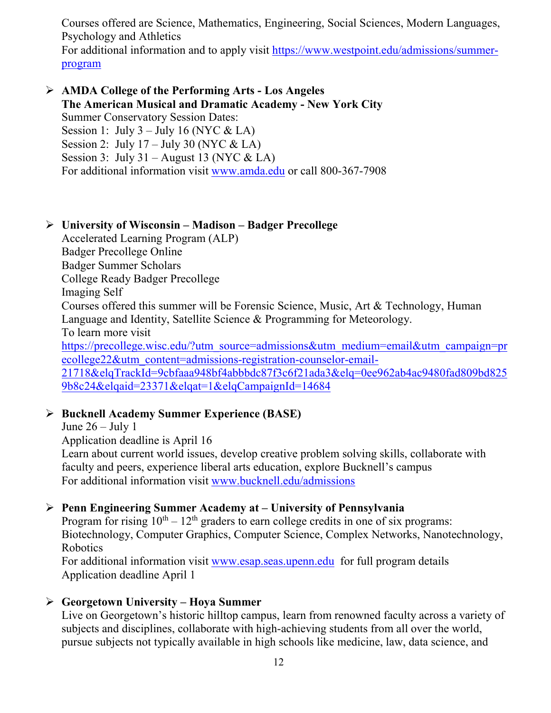Courses offered are Science, Mathematics, Engineering, Social Sciences, Modern Languages, Psychology and Athletics For additional information and to apply visit [https://www.westpoint.edu/admissions/summer-](https://www.westpoint.edu/admissions/summer-program)

[program](https://www.westpoint.edu/admissions/summer-program)

#### **AMDA College of the Performing Arts - Los Angeles The American Musical and Dramatic Academy - New York City** Summer Conservatory Session Dates:

Session 1: July  $3 -$  July 16 (NYC & LA) Session 2: July  $17 -$  July 30 (NYC & LA) Session 3: July 31 – August 13 (NYC & LA) For additional information visit [www.amda.edu](http://www.amda.edu/) or call 800-367-7908

#### **University of Wisconsin – Madison – Badger Precollege**

Accelerated Learning Program (ALP)

Badger Precollege Online

Badger Summer Scholars

College Ready Badger Precollege

Imaging Self

Courses offered this summer will be Forensic Science, Music, Art & Technology, Human Language and Identity, Satellite Science & Programming for Meteorology.

To learn more visit

[https://precollege.wisc.edu/?utm\\_source=admissions&utm\\_medium=email&utm\\_campaign=pr](https://precollege.wisc.edu/?utm_source=admissions&utm_medium=email&utm_campaign=precollege22&utm_content=admissions-registration-counselor-email-21718&elqTrackId=9cbfaaa948bf4abbbdc87f3c6f21ada3&elq=0ee962ab4ac9480fad809bd8259b8c24&elqaid=23371&elqat=1&elqCampaignId=14684) [ecollege22&utm\\_content=admissions-registration-counselor-email-](https://precollege.wisc.edu/?utm_source=admissions&utm_medium=email&utm_campaign=precollege22&utm_content=admissions-registration-counselor-email-21718&elqTrackId=9cbfaaa948bf4abbbdc87f3c6f21ada3&elq=0ee962ab4ac9480fad809bd8259b8c24&elqaid=23371&elqat=1&elqCampaignId=14684)

[21718&elqTrackId=9cbfaaa948bf4abbbdc87f3c6f21ada3&elq=0ee962ab4ac9480fad809bd825](https://precollege.wisc.edu/?utm_source=admissions&utm_medium=email&utm_campaign=precollege22&utm_content=admissions-registration-counselor-email-21718&elqTrackId=9cbfaaa948bf4abbbdc87f3c6f21ada3&elq=0ee962ab4ac9480fad809bd8259b8c24&elqaid=23371&elqat=1&elqCampaignId=14684) [9b8c24&elqaid=23371&elqat=1&elqCampaignId=14684](https://precollege.wisc.edu/?utm_source=admissions&utm_medium=email&utm_campaign=precollege22&utm_content=admissions-registration-counselor-email-21718&elqTrackId=9cbfaaa948bf4abbbdc87f3c6f21ada3&elq=0ee962ab4ac9480fad809bd8259b8c24&elqaid=23371&elqat=1&elqCampaignId=14684)

#### **Bucknell Academy Summer Experience (BASE)**

June  $26 -$  July 1

Application deadline is April 16

Learn about current world issues, develop creative problem solving skills, collaborate with faculty and peers, experience liberal arts education, explore Bucknell's campus For additional information visit [www.bucknell.edu/admissions](http://www.bucknell.edu/admissions)

#### **Penn Engineering Summer Academy at – University of Pennsylvania**

Program for rising  $10^{th} - 12^{th}$  graders to earn college credits in one of six programs: Biotechnology, Computer Graphics, Computer Science, Complex Networks, Nanotechnology, Robotics

For additional information visit [www.esap.seas.upenn.edu](http://www.esap.seas.upenn.edu/) for full program details Application deadline April 1

#### **Georgetown University – Hoya Summer**

Live on Georgetown's historic hilltop campus, learn from renowned faculty across a variety of subjects and disciplines, collaborate with high-achieving students from all over the world, pursue subjects not typically available in high schools like medicine, law, data science, and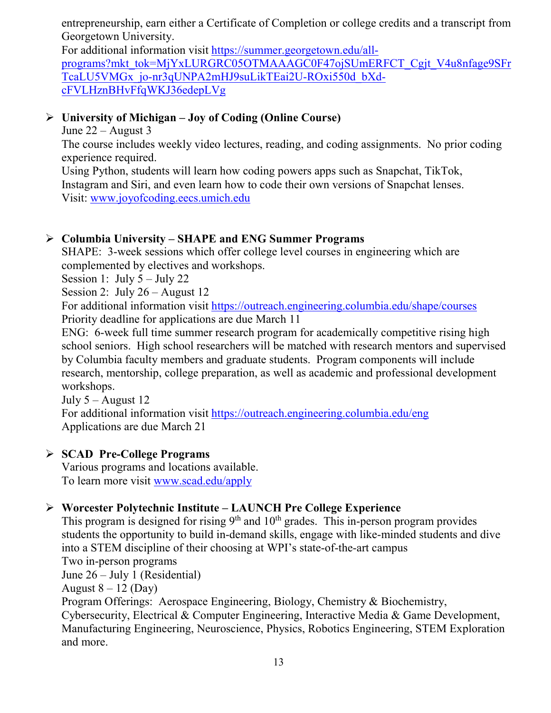entrepreneurship, earn either a Certificate of Completion or college credits and a transcript from Georgetown University.

For additional information visit [https://summer.georgetown.edu/all](https://summer.georgetown.edu/all-programs?mkt_tok=MjYxLURGRC05OTMAAAGC0F47ojSUmERFCT_Cgjt_V4u8nfage9SFrTcaLU5VMGx_jo-nr3qUNPA2mHJ9suLikTEai2U-ROxi550d_bXd-cFVLHznBHvFfqWKJ36edepLVg)[programs?mkt\\_tok=MjYxLURGRC05OTMAAAGC0F47ojSUmERFCT\\_Cgjt\\_V4u8nfage9SFr](https://summer.georgetown.edu/all-programs?mkt_tok=MjYxLURGRC05OTMAAAGC0F47ojSUmERFCT_Cgjt_V4u8nfage9SFrTcaLU5VMGx_jo-nr3qUNPA2mHJ9suLikTEai2U-ROxi550d_bXd-cFVLHznBHvFfqWKJ36edepLVg) [TcaLU5VMGx\\_jo-nr3qUNPA2mHJ9suLikTEai2U-ROxi550d\\_bXd](https://summer.georgetown.edu/all-programs?mkt_tok=MjYxLURGRC05OTMAAAGC0F47ojSUmERFCT_Cgjt_V4u8nfage9SFrTcaLU5VMGx_jo-nr3qUNPA2mHJ9suLikTEai2U-ROxi550d_bXd-cFVLHznBHvFfqWKJ36edepLVg)[cFVLHznBHvFfqWKJ36edepLVg](https://summer.georgetown.edu/all-programs?mkt_tok=MjYxLURGRC05OTMAAAGC0F47ojSUmERFCT_Cgjt_V4u8nfage9SFrTcaLU5VMGx_jo-nr3qUNPA2mHJ9suLikTEai2U-ROxi550d_bXd-cFVLHznBHvFfqWKJ36edepLVg)

#### **University of Michigan – Joy of Coding (Online Course)**

June  $22 -$ August 3

The course includes weekly video lectures, reading, and coding assignments. No prior coding experience required.

Using Python, students will learn how coding powers apps such as Snapchat, TikTok, Instagram and Siri, and even learn how to code their own versions of Snapchat lenses. Visit: [www.joyofcoding.eecs.umich.edu](http://www.joyofcoding.eecs.umich.edu/)

#### **Columbia University – SHAPE and ENG Summer Programs**

SHAPE: 3-week sessions which offer college level courses in engineering which are complemented by electives and workshops.

Session 1: July 5 – July 22

Session 2: July 26 – August 12

For additional information visit<https://outreach.engineering.columbia.edu/shape/courses> Priority deadline for applications are due March 11

ENG: 6-week full time summer research program for academically competitive rising high school seniors. High school researchers will be matched with research mentors and supervised by Columbia faculty members and graduate students. Program components will include research, mentorship, college preparation, as well as academic and professional development workshops.

July  $5 -$ August 12

For additional information visit<https://outreach.engineering.columbia.edu/eng> Applications are due March 21

#### **SCAD Pre-College Programs**

Various programs and locations available. To learn more visit [www.scad.edu/apply](http://www.scad.edu/apply)

#### **Worcester Polytechnic Institute – LAUNCH Pre College Experience**

This program is designed for rising  $9<sup>th</sup>$  and  $10<sup>th</sup>$  grades. This in-person program provides students the opportunity to build in-demand skills, engage with like-minded students and dive into a STEM discipline of their choosing at WPI's state-of-the-art campus Two in-person programs June 26 – July 1 (Residential) August  $8 - 12$  (Day) Program Offerings: Aerospace Engineering, Biology, Chemistry & Biochemistry, Cybersecurity, Electrical & Computer Engineering, Interactive Media & Game Development, Manufacturing Engineering, Neuroscience, Physics, Robotics Engineering, STEM Exploration and more.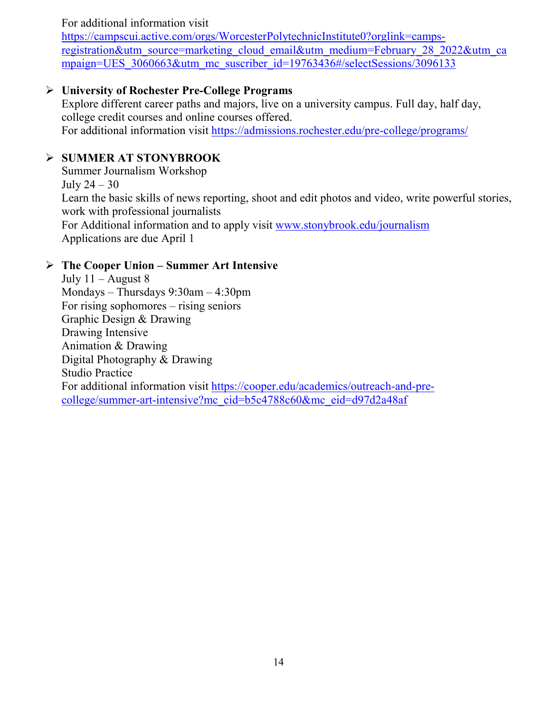#### For additional information visit

[https://campscui.active.com/orgs/WorcesterPolytechnicInstitute0?orglink=camps](https://campscui.active.com/orgs/WorcesterPolytechnicInstitute0?orglink=camps-registration&utm_source=marketing_cloud_email&utm_medium=February_28_2022&utm_campaign=UES_3060663&utm_mc_suscriber_id=19763436#/selectSessions/3096133)[registration&utm\\_source=marketing\\_cloud\\_email&utm\\_medium=February\\_28\\_2022&utm\\_ca](https://campscui.active.com/orgs/WorcesterPolytechnicInstitute0?orglink=camps-registration&utm_source=marketing_cloud_email&utm_medium=February_28_2022&utm_campaign=UES_3060663&utm_mc_suscriber_id=19763436#/selectSessions/3096133) mpaign=UES 3060663&utm\_mc\_suscriber\_id=19763436#/selectSessions/3096133

#### **University of Rochester Pre-College Programs**

Explore different career paths and majors, live on a university campus. Full day, half day, college credit courses and online courses offered. For additional information visit<https://admissions.rochester.edu/pre-college/programs/>

#### **SUMMER AT STONYBROOK**

Summer Journalism Workshop July  $24 - 30$ Learn the basic skills of news reporting, shoot and edit photos and video, write powerful stories, work with professional journalists For Additional information and to apply visit [www.stonybrook.edu/journalism](http://www.stonybrook.edu/journalism) Applications are due April 1

#### **The Cooper Union – Summer Art Intensive**

July  $11 -$ August 8 Mondays – Thursdays 9:30am – 4:30pm For rising sophomores – rising seniors Graphic Design & Drawing Drawing Intensive Animation & Drawing Digital Photography & Drawing Studio Practice For additional information visit [https://cooper.edu/academics/outreach-and-pre](https://cooper.edu/academics/outreach-and-pre-college/summer-art-intensive?mc_cid=b5c4788c60&mc_eid=d97d2a48af)[college/summer-art-intensive?mc\\_cid=b5c4788c60&mc\\_eid=d97d2a48af](https://cooper.edu/academics/outreach-and-pre-college/summer-art-intensive?mc_cid=b5c4788c60&mc_eid=d97d2a48af)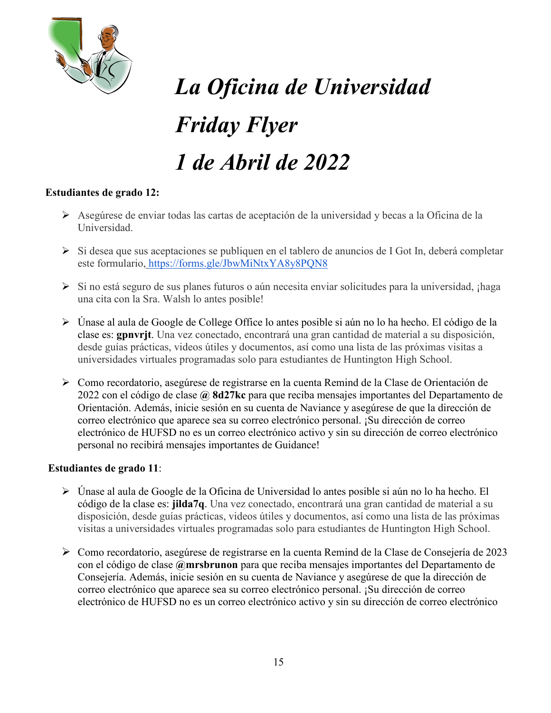

# *La Oficina de Universidad Friday Flyer 1 de Abril de 2022*

#### **Estudiantes de grado 12:**

- Asegúrese de enviar todas las cartas de aceptación de la universidad y becas a la Oficina de la Universidad.
- $\triangleright$  Si desea que sus aceptaciones se publiquen en el tablero de anuncios de I Got In, deberá completar este formulario, <https://forms.gle/JbwMiNtxYA8y8PQN8>
- ≻ Si no está seguro de sus planes futuros o aún necesita enviar solicitudes para la universidad, ¡haga una cita con la Sra. Walsh lo antes posible!
- Únase al aula de Google de College Office lo antes posible si aún no lo ha hecho. El código de la clase es: **gpnvrjt**. Una vez conectado, encontrará una gran cantidad de material a su disposición, desde guías prácticas, videos útiles y documentos, así como una lista de las próximas visitas a universidades virtuales programadas solo para estudiantes de Huntington High School.
- Como recordatorio, asegúrese de registrarse en la cuenta Remind de la Clase de Orientación de 2022 con el código de clase **@ 8d27kc** para que reciba mensajes importantes del Departamento de Orientación. Además, inicie sesión en su cuenta de Naviance y asegúrese de que la dirección de correo electrónico que aparece sea su correo electrónico personal. ¡Su dirección de correo electrónico de HUFSD no es un correo electrónico activo y sin su dirección de correo electrónico personal no recibirá mensajes importantes de Guidance!

#### **Estudiantes de grado 11**:

- Únase al aula de Google de la Oficina de Universidad lo antes posible si aún no lo ha hecho. El código de la clase es: **jilda7q**. Una vez conectado, encontrará una gran cantidad de material a su disposición, desde guías prácticas, videos útiles y documentos, así como una lista de las próximas visitas a universidades virtuales programadas solo para estudiantes de Huntington High School.
- Como recordatorio, asegúrese de registrarse en la cuenta Remind de la Clase de Consejería de 2023 con el código de clase **@mrsbrunon** para que reciba mensajes importantes del Departamento de Consejería. Además, inicie sesión en su cuenta de Naviance y asegúrese de que la dirección de correo electrónico que aparece sea su correo electrónico personal. ¡Su dirección de correo electrónico de HUFSD no es un correo electrónico activo y sin su dirección de correo electrónico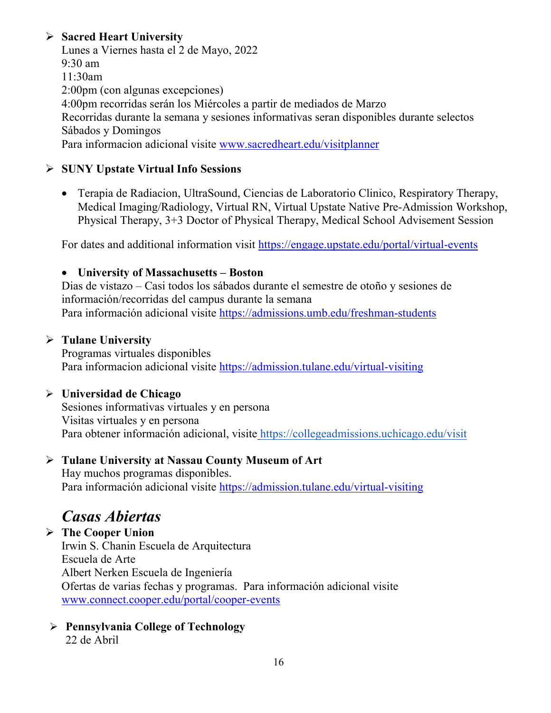#### **Sacred Heart University**

Lunes a Viernes hasta el 2 de Mayo, 2022 9:30 am 11:30am 2:00pm (con algunas excepciones) 4:00pm recorridas serán los Miércoles a partir de mediados de Marzo Recorridas durante la semana y sesiones informativas seran disponibles durante selectos Sábados y Domingos Para informacion adicional visite [www.sacredheart.edu/visitplanner](http://www.sacredheart.edu/visitplanner)

#### **SUNY Upstate Virtual Info Sessions**

• Terapia de Radiacion, UltraSound, Ciencias de Laboratorio Clinico, Respiratory Therapy, Medical Imaging/Radiology, Virtual RN, Virtual Upstate Native Pre-Admission Workshop, Physical Therapy, 3+3 Doctor of Physical Therapy, Medical School Advisement Session

For dates and additional information visit<https://engage.upstate.edu/portal/virtual-events>

#### • **University of Massachusetts – Boston**

Dias de vistazo – Casi todos los sábados durante el semestre de otoño y sesiones de información/recorridas del campus durante la semana Para información adicional visite<https://admissions.umb.edu/freshman-students>

#### **Tulane University**

Programas virtuales disponibles Para informacion adicional visite<https://admission.tulane.edu/virtual-visiting>

#### **Universidad de Chicago**

Sesiones informativas virtuales y en persona Visitas virtuales y en persona Para obtener información adicional, visite <https://collegeadmissions.uchicago.edu/visit>

#### **Tulane University at Nassau County Museum of Art**

Hay muchos programas disponibles. Para información adicional visite <https://admission.tulane.edu/virtual-visiting>

## *Casas Abiertas*

 **The Cooper Union** Irwin S. Chanin Escuela de Arquitectura Escuela de Arte Albert Nerken Escuela de Ingeniería Ofertas de varias fechas y programas. Para información adicional visite [www.connect.cooper.edu/portal/cooper-events](http://www.connect.cooper.edu/portal/cooper-events)

 **Pennsylvania College of Technology** 22 de Abril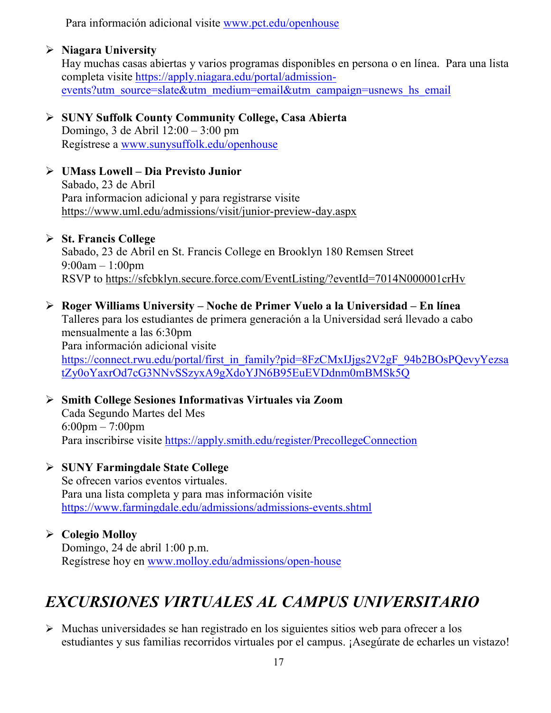Para información adicional visite [www.pct.edu/openhouse](http://www.pct.edu/openhouse)

#### **Niagara University**

Hay muchas casas abiertas y varios programas disponibles en persona o en línea. Para una lista completa visite [https://apply.niagara.edu/portal/admission](https://apply.niagara.edu/portal/admission-events?utm_source=slate&utm_medium=email&utm_campaign=usnews_hs_email)[events?utm\\_source=slate&utm\\_medium=email&utm\\_campaign=usnews\\_hs\\_email](https://apply.niagara.edu/portal/admission-events?utm_source=slate&utm_medium=email&utm_campaign=usnews_hs_email)

#### **SUNY Suffolk County Community College, Casa Abierta** Domingo, 3 de Abril 12:00 – 3:00 pm Regístrese a [www.sunysuffolk.edu/openhouse](http://www.sunysuffolk.edu/openhouse)

#### **UMass Lowell – Dia Previsto Junior** Sabado, 23 de Abril Para informacion adicional y para registrarse visite <https://www.uml.edu/admissions/visit/junior-preview-day.aspx>

#### **St. Francis College**

Sabado, 23 de Abril en St. Francis College en Brooklyn 180 Remsen Street 9:00am – 1:00pm RSVP to<https://sfcbklyn.secure.force.com/EventListing/?eventId=7014N000001crHv>

#### **Roger Williams University – Noche de Primer Vuelo a la Universidad – En línea** Talleres para los estudiantes de primera generación a la Universidad será llevado a cabo mensualmente a las 6:30pm Para información adicional visite [https://connect.rwu.edu/portal/first\\_in\\_family?pid=8FzCMxIJjgs2V2gF\\_94b2BOsPQevyYezsa](https://connect.rwu.edu/portal/first_in_family?pid=8FzCMxIJjgs2V2gF_94b2BOsPQevyYezsatZy0oYaxrOd7cG3NNvSSzyxA9gXdoYJN6B95EuEVDdnm0mBMSk5Q) [tZy0oYaxrOd7cG3NNvSSzyxA9gXdoYJN6B95EuEVDdnm0mBMSk5Q](https://connect.rwu.edu/portal/first_in_family?pid=8FzCMxIJjgs2V2gF_94b2BOsPQevyYezsatZy0oYaxrOd7cG3NNvSSzyxA9gXdoYJN6B95EuEVDdnm0mBMSk5Q)

 **Smith College Sesiones Informativas Virtuales via Zoom** Cada Segundo Martes del Mes 6:00pm – 7:00pm Para inscribirse visite<https://apply.smith.edu/register/PrecollegeConnection>

#### **SUNY Farmingdale State College** Se ofrecen varios eventos virtuales. Para una lista completa y para mas información visite <https://www.farmingdale.edu/admissions/admissions-events.shtml>

#### **Colegio Molloy** Domingo, 24 de abril 1:00 p.m. Regístrese hoy en [www.molloy.edu/admissions/open-house](http://www.molloy.edu/admissions/open-house)

## *EXCURSIONES VIRTUALES AL CAMPUS UNIVERSITARIO*

 $\triangleright$  Muchas universidades se han registrado en los siguientes sitios web para ofrecer a los estudiantes y sus familias recorridos virtuales por el campus. ¡Asegúrate de echarles un vistazo!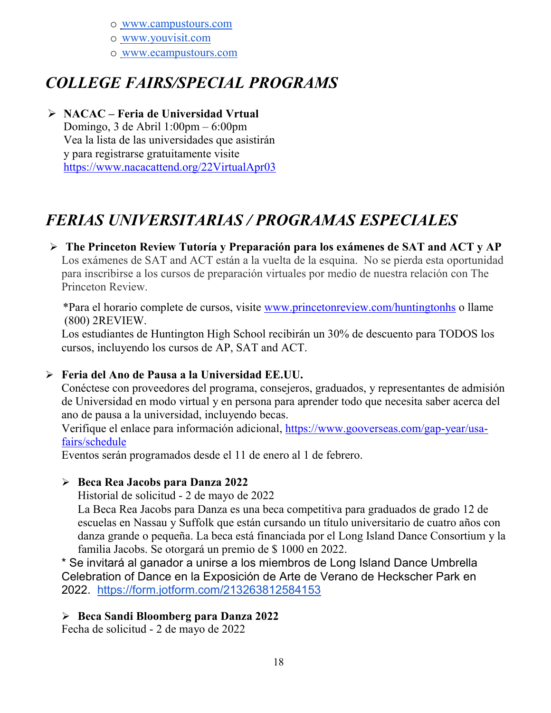o [www.campustours.com](http://www.campustours.com/)

o [www.youvisit.com](http://www.youvisit.com/)

o [www.ecampustours.com](http://www.ecampustours.com/)

## *COLLEGE FAIRS/SPECIAL PROGRAMS*

 **NACAC – Feria de Universidad Vrtual** Domingo, 3 de Abril 1:00pm – 6:00pm Vea la lista de las universidades que asistirán y para registrarse gratuitamente visite <https://www.nacacattend.org/22VirtualApr03>

## *FERIAS UNIVERSITARIAS / PROGRAMAS ESPECIALES*

#### **The Princeton Review Tutoría y Preparación para los exámenes de SAT and ACT y AP**  Los exámenes de SAT and ACT están a la vuelta de la esquina. No se pierda esta oportunidad para inscribirse a los cursos de preparación virtuales por medio de nuestra relación con The Princeton Review.

 \*Para el horario complete de cursos, visite [www.princetonreview.com/huntingtonhs](http://www.princetonreview.com/huntingtonhs) o llame (800) 2REVIEW.

Los estudiantes de Huntington High School recibirán un 30% de descuento para TODOS los cursos, incluyendo los cursos de AP, SAT and ACT.

#### **Feria del Ano de Pausa a la Universidad EE.UU.**

Conéctese con proveedores del programa, consejeros, graduados, y representantes de admisión de Universidad en modo virtual y en persona para aprender todo que necesita saber acerca del ano de pausa a la universidad, incluyendo becas.

Verifique el enlace para información adicional, [https://www.gooverseas.com/gap-year/usa](https://www.gooverseas.com/gap-year/usa-fairs/schedule)[fairs/schedule](https://www.gooverseas.com/gap-year/usa-fairs/schedule)

Eventos serán programados desde el 11 de enero al 1 de febrero.

#### **Beca Rea Jacobs para Danza 2022**

Historial de solicitud - 2 de mayo de 2022

La Beca Rea Jacobs para Danza es una beca competitiva para graduados de grado 12 de escuelas en Nassau y Suffolk que están cursando un título universitario de cuatro años con danza grande o pequeña. La beca está financiada por el Long Island Dance Consortium y la familia Jacobs. Se otorgará un premio de \$ 1000 en 2022.

\* Se invitará al ganador a unirse a los miembros de Long Island Dance Umbrella Celebration of Dance en la Exposición de Arte de Verano de Heckscher Park en 2022. <https://form.jotform.com/213263812584153>

#### **Beca Sandi Bloomberg para Danza 2022**

Fecha de solicitud - 2 de mayo de 2022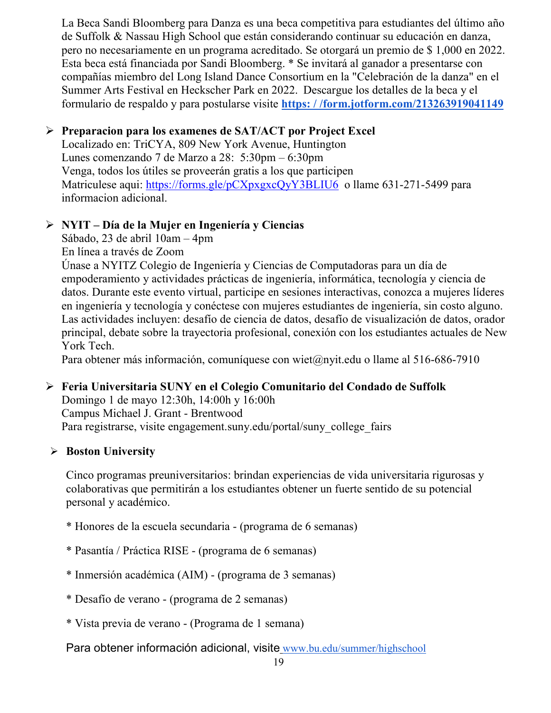La Beca Sandi Bloomberg para Danza es una beca competitiva para estudiantes del último año de Suffolk & Nassau High School que están considerando continuar su educación en danza, pero no necesariamente en un programa acreditado. Se otorgará un premio de \$ 1,000 en 2022. Esta beca está financiada por Sandi Bloomberg. \* Se invitará al ganador a presentarse con compañías miembro del Long Island Dance Consortium en la "Celebración de la danza" en el Summer Arts Festival en Heckscher Park en 2022. Descargue los detalles de la beca y el formulario de respaldo y para postularse visite **[https: / /form.jotform.com/213263919041149](https://form.jotform.com/213263919041149)**

#### **Preparacion para los examenes de SAT/ACT por Project Excel**

Localizado en: TriCYA, 809 New York Avenue, Huntington Lunes comenzando 7 de Marzo a 28: 5:30pm – 6:30pm Venga, todos los útiles se proveerán gratis a los que participen Matriculese aqui: https://forms.gle/pCXpxgxcOvY3BLIU6 o llame 631-271-5499 para informacion adicional.

#### **NYIT – Día de la Mujer en Ingeniería y Ciencias**

Sábado, 23 de abril 10am – 4pm

En línea a través de Zoom

Únase a NYITZ Colegio de Ingeniería y Ciencias de Computadoras para un día de empoderamiento y actividades prácticas de ingeniería, informática, tecnología y ciencia de datos. Durante este evento virtual, participe en sesiones interactivas, conozca a mujeres líderes en ingeniería y tecnología y conéctese con mujeres estudiantes de ingeniería, sin costo alguno. Las actividades incluyen: desafío de ciencia de datos, desafío de visualización de datos, orador principal, debate sobre la trayectoria profesional, conexión con los estudiantes actuales de New York Tech.

Para obtener más información, comuníquese con wiet@nyit.edu o llame al 516-686-7910

#### **Feria Universitaria SUNY en el Colegio Comunitario del Condado de Suffolk**

Domingo 1 de mayo 12:30h, 14:00h y 16:00h Campus Michael J. Grant - Brentwood Para registrarse, visite engagement.suny.edu/portal/suny\_college\_fairs

#### **Boston University**

Cinco programas preuniversitarios: brindan experiencias de vida universitaria rigurosas y colaborativas que permitirán a los estudiantes obtener un fuerte sentido de su potencial personal y académico.

- \* Honores de la escuela secundaria (programa de 6 semanas)
- \* Pasantía / Práctica RISE (programa de 6 semanas)
- \* Inmersión académica (AIM) (programa de 3 semanas)
- \* Desafío de verano (programa de 2 semanas)
- \* Vista previa de verano (Programa de 1 semana)

Para obtener información adicional, visite [www.bu.edu/summer/highschool](http://www.bu.edu/summer/highschool)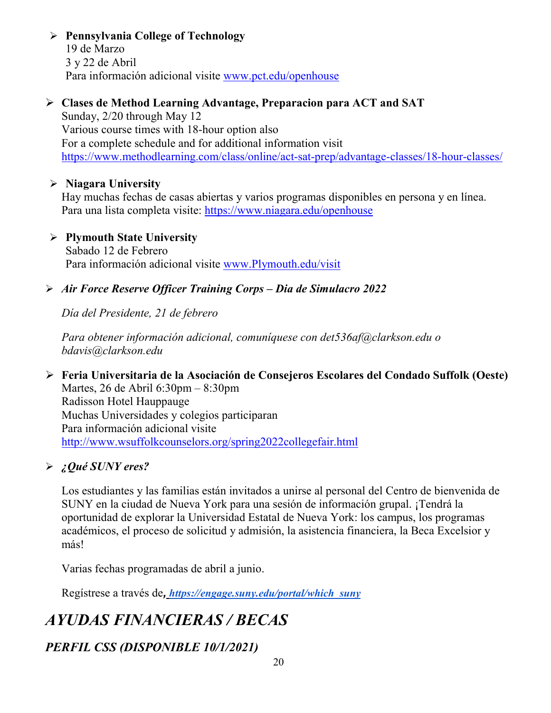#### **Pennsylvania College of Technology**

19 de Marzo 3 y 22 de Abril Para información adicional visite [www.pct.edu/openhouse](http://www.pct.edu/openhouse)

#### **Clases de Method Learning Advantage, Preparacion para ACT and SAT**

Sunday, 2/20 through May 12 Various course times with 18-hour option also For a complete schedule and for additional information visit <https://www.methodlearning.com/class/online/act-sat-prep/advantage-classes/18-hour-classes/>

#### **Niagara University**

Hay muchas fechas de casas abiertas y varios programas disponibles en persona y en línea. Para una lista completa visite:<https://www.niagara.edu/openhouse>

 **Plymouth State University** Sabado 12 de Febrero

Para información adicional visite [www.Plymouth.edu/visit](http://www.plymouth.edu/visit)

#### *Air Force Reserve Officer Training Corps – Dia de Simulacro 2022*

*Día del Presidente, 21 de febrero*

*Para obtener información adicional, comuníquese con det536af@clarkson.edu o bdavis@clarkson.edu*

#### **Feria Universitaria de la Asociación de Consejeros Escolares del Condado Suffolk (Oeste)**

Martes, 26 de Abril 6:30pm – 8:30pm Radisson Hotel Hauppauge Muchas Universidades y colegios participaran Para información adicional visite <http://www.wsuffolkcounselors.org/spring2022collegefair.html>

#### *¿Qué SUNY eres?*

Los estudiantes y las familias están invitados a unirse al personal del Centro de bienvenida de SUNY en la ciudad de Nueva York para una sesión de información grupal. ¡Tendrá la oportunidad de explorar la Universidad Estatal de Nueva York: los campus, los programas académicos, el proceso de solicitud y admisión, la asistencia financiera, la Beca Excelsior y más!

Varias fechas programadas de abril a junio.

Regístrese a través de*, [https://engage.suny.edu/portal/which\\_suny](https://engage.suny.edu/portal/which_suny)*

## *AYUDAS FINANCIERAS / BECAS*

#### *PERFIL CSS (DISPONIBLE 10/1/2021)*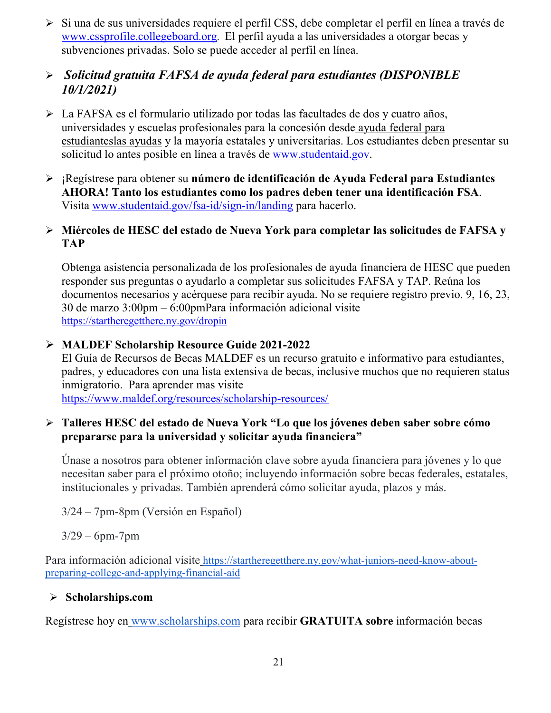Si una d[e](http://www.collegeboard.org/) sus universidades requiere el perfil CSS, debe completar el perfil en línea a través de [www.cssprofile.collegeboard.org.](http://www.collegeboard.org/) El perfil ayuda a las universidades a otorgar becas y subvenciones privadas. Solo se puede acceder al perfil en línea.

#### *Solicitud gratuita FAFSA de ayuda federal para estudiantes (DISPONIBLE 10/1/2021)*

- La FAFSA es el formulario utilizado por todas las facultades de dos y cuatro años, universidades y escuelas profesionales para la concesión desde [ayuda federal para](http://studentaid.ed.gov/students/publications/student_guide/2010-2011/english/typesofFSA_grants.htm)  [estudianteslas ayudas](http://studentaid.ed.gov/students/publications/student_guide/2010-2011/english/typesofFSA_grants.htm) y la mayoría estatales y universitarias. Los estudiantes deben presentar su solicitud lo antes posible en línea a través de [www.studentaid.gov.](http://www.studentaid.gov/)
- ¡Regístrese para obtener su **número de identificación de Ayuda Federal para Estudiantes AHORA! Tanto los estudiantes como los padres deben tener una identificación FSA**. Visita [www.studentaid.gov/fsa-id/sign-in/landing](http://www.studentaid.gov/fsa-id/sign-in/landing) para hacerlo.

#### **Miércoles de HESC del estado de Nueva York para completar las solicitudes de FAFSA y TAP**

Obtenga asistencia personalizada de los profesionales de ayuda financiera de HESC que pueden responder sus preguntas o ayudarlo a completar sus solicitudes FAFSA y TAP. Reúna los documentos necesarios y acérquese para recibir ayuda. No se re[quiere registro previo.](https://startheregetthere.ny.gov/dropin) 9, 16, 23, 30 de marzo 3:00pm – 6:00pmPara información adicional visite <https://startheregetthere.ny.gov/dropin>

#### **MALDEF Scholarship Resource Guide 2021-2022**

El Guía de Recursos de Becas MALDEF es un recurso gratuito e informativo para estudiantes, padres, y educadores con una lista extensiva de becas, inclusive muchos que no requieren status inmigratorio. Para aprender mas visite <https://www.maldef.org/resources/scholarship-resources/>

#### **Talleres HESC del estado de Nueva York "Lo que los jóvenes deben saber sobre cómo prepararse para la universidad y solicitar ayuda financiera"**

Únase a nosotros para obtener información clave sobre ayuda financiera para jóvenes y lo que necesitan saber para el próximo otoño; incluyendo información sobre becas federales, estatales, institucionales y privadas. También aprenderá cómo solicitar ayuda, plazos y más.

3/24 – 7pm-8pm (Versión en Español)

#### $3/29 - 6$ pm-7pm

Para información adicional visite [https://startheregetthere.ny.gov/what-juniors-need-know-about](https://startheregetthere.ny.gov/what-juniors-need-know-about-preparing-college-and-applying-financial-aid)[preparing-college-and-applying-financial-aid](https://startheregetthere.ny.gov/what-juniors-need-know-about-preparing-college-and-applying-financial-aid)

#### **Scholarships.com**

Regístrese hoy en [www.scholarships.com](http://www.scholarships.com/) para recibir **GRATUITA sobre** información becas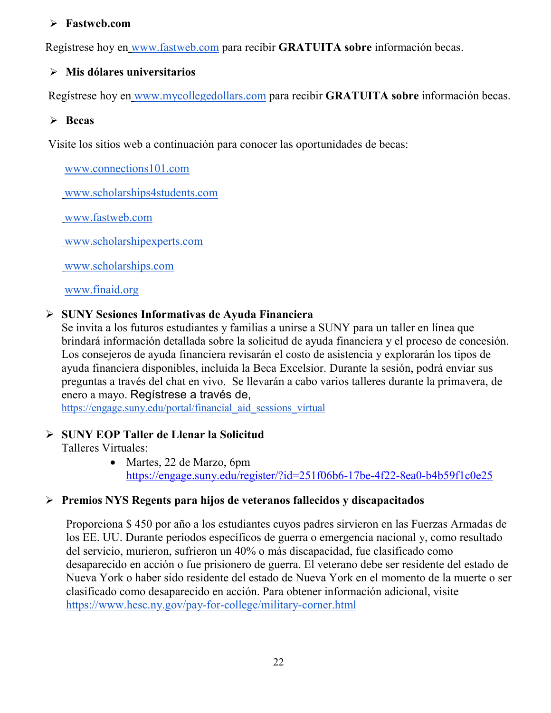#### **Fastweb.com**

Regístrese hoy en [www.fastweb.com](http://www.fastweb.com/) para recibir **GRATUITA sobre** información becas.

#### **Mis dólares universitarios**

Regístrese hoy en [www.mycollegedollars.com](http://www.mycollegedollars.com/) para recibir **GRATUITA sobre** información becas.

#### **Becas**

Visite los sitios web a continuación para conocer las oportunidades de becas:

[www.connections101.com](http://www.connections101.com/)

[www.scholarships4students.com](http://www.scholarships4students.com/)

[www.fastweb.com](http://www.fastweb.com/)

[www.scholarshipexperts.com](http://www.scholarshipexperts.com/)

[www.scholarships.com](http://www.scholarships.com/)

[www.finaid.org](http://www.finaid.org/)

#### **SUNY Sesiones Informativas de Ayuda Financiera**

Se invita a los futuros estudiantes y familias a unirse a SUNY para un taller en línea que brindará información detallada sobre la solicitud de ayuda financiera y el proceso de concesión. Los consejeros de ayuda financiera revisarán el costo de asistencia y explorarán los tipos de ayuda financiera disponibles, incluida la Beca Excelsior. Durante la sesión, podrá enviar sus preguntas a través del chat en vivo. Se llevarán a cabo varios talleres durante la primavera, de enero a mayo. Regístrese a través de[,](https://engage.suny.edu/portal/financial_aid_sessions_virtual)

[https://engage.suny.edu/portal/financial\\_aid\\_sessions\\_virtual](https://engage.suny.edu/portal/financial_aid_sessions_virtual)

#### **SUNY EOP Taller de Llenar la Solicitud**

Talleres Virtuales:

• Martes, 22 de Marzo, 6pm <https://engage.suny.edu/register/?id=251f06b6-17be-4f22-8ea0-b4b59f1c0e25>

#### **Premios NYS Regents para hijos de veteranos fallecidos y discapacitados**

Proporciona \$ 450 por año a los estudiantes cuyos padres sirvieron en las Fuerzas Armadas de los EE. UU. Durante períodos específicos de guerra o emergencia nacional y, como resultado del servicio, murieron, sufrieron un 40% o más discapacidad, fue clasificado como desaparecido en acción o fue prisionero de guerra. El veterano debe ser residente del estado de Nueva York o haber sido residente del estado de Nueva York en el momento de la muerte o ser clasificado como desaparecido en acción. Para obtener información adicional, visit[e](https://www.hesc.ny.gov/pay-for-college/military-corner.html) <https://www.hesc.ny.gov/pay-for-college/military-corner.html>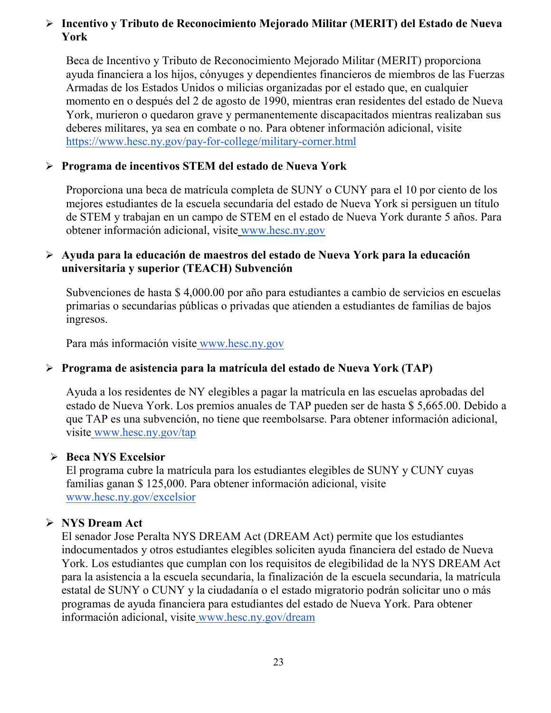#### **Incentivo y Tributo de Reconocimiento Mejorado Militar (MERIT) del Estado de Nueva York**

Beca de Incentivo y Tributo de Reconocimiento Mejorado Militar (MERIT) proporciona ayuda financiera a los hijos, cónyuges y dependientes financieros de miembros de las Fuerzas Armadas de los Estados Unidos o milicias organizadas por el estado que, en cualquier momento en o después del 2 de agosto de 1990, mientras eran residentes del estado de Nueva York, murieron o quedaron grave y permanentemente discapacitados mientras realizaban sus deberes militares, ya sea en combate o no. Para obtener información adicional, visit[e](https://www.hesc.ny.gov/pay-for-college/military-corner.html) <https://www.hesc.ny.gov/pay-for-college/military-corner.html>

#### **Programa de incentivos STEM del estado de Nueva York**

Proporciona una beca de matrícula completa de SUNY o CUNY para el 10 por ciento de los mejores estudiantes de la escuela secundaria del estado de Nueva York si persiguen un título de STEM y trabajan en un campo de STEM en el estado de Nueva York durante 5 años. Para obtener información adicional, visite [www.hesc.ny.gov](http://www.hesc.ny.gov/)

#### **Ayuda para la educación de maestros del estado de Nueva York para la educación universitaria y superior (TEACH) Subvención**

Subvenciones de hasta \$ 4,000.00 por año para estudiantes a cambio de servicios en escuelas primarias o secundarias públicas o privadas que atienden a estudiantes de familias de bajos ingresos.

Para más información visite [www.hesc.ny.gov](http://www.hesc.ny.gov/) 

#### **Programa de asistencia para la matrícula del estado de Nueva York (TAP)**

Ayuda a los residentes de NY elegibles a pagar la matrícula en las escuelas aprobadas del estado de Nueva York. Los premios anuales de TAP pueden ser de hasta \$ 5,665.00. Debido a que TAP es una subvención, no tiene que reembolsarse. Para obtener información adicional, visite [www.hesc.ny.gov/tap](http://www.hesc.ny.gov/tap)

#### **Beca NYS Excelsior**

El programa cubre la matrícula para los estudiantes elegibles de SUNY y CUNY cuyas familias ganan \$ 125,000. Para obtener información adicional, visit[e](http://www.hesc.ny.gov/) [www.hesc.ny.gov/](http://www.hesc.ny.gov/)excelsior

#### **NYS Dream Act**

El senador Jose Peralta NYS DREAM Act (DREAM Act) permite que los estudiantes indocumentados y otros estudiantes elegibles soliciten ayuda financiera del estado de Nueva York. Los estudiantes que cumplan con los requisitos de elegibilidad de la NYS DREAM Act para la asistencia a la escuela secundaria, la finalización de la escuela secundaria, la matrícula estatal de SUNY o CUNY y la ciudadanía o el estado migratorio podrán solicitar uno o más programas de ayuda financiera para estudiantes del estado de Nueva York. Para obtener información adicional, visite [www.hesc.ny.gov/dream](http://www.hesc.ny.gov/dream)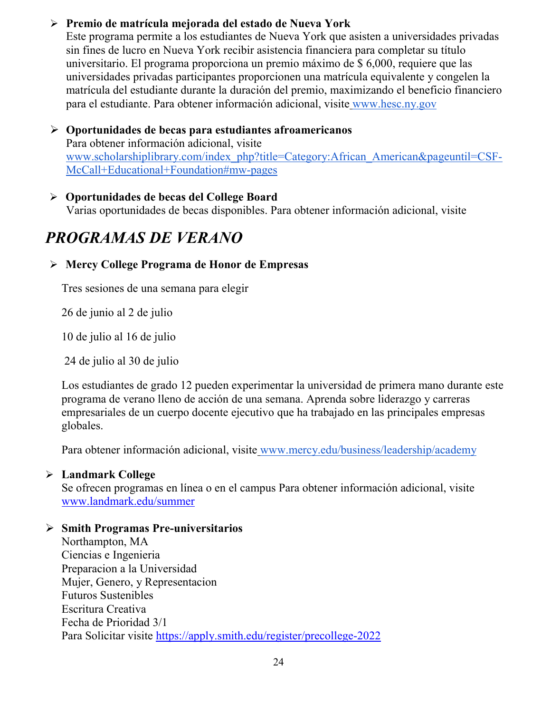#### **Premio de matrícula mejorada del estado de Nueva York**

Este programa permite a los estudiantes de Nueva York que asisten a universidades privadas sin fines de lucro en Nueva York recibir asistencia financiera para completar su título universitario. El programa proporciona un premio máximo de \$ 6,000, requiere que las universidades privadas participantes proporcionen una matrícula equivalente y congelen la matrícula del estudiante durante la duración del premio, maximizando el beneficio financiero para el estudiante. Para obtener información adicional, visite [www.hesc.ny.gov](http://www.hesc.ny.gov/)

 **Oportunidades de becas para estudian[tes afroamericanos](http://www.scholarshiplibrary.com/index_php?title=Category:African_American&pageuntil=CSF-McCall+Educational+Foundation#mw-pages)** Para obtener información adicional, visite [www.scholarshiplibrary.com/index\\_php?title=Category:African\\_American&pageuntil=CSF-](http://www.scholarshiplibrary.com/index_php?title=Category:African_American&pageuntil=CSF-McCall+Educational+Foundation#mw-pages)[McCall+Educational+Foundation#mw-pages](http://www.scholarshiplibrary.com/index_php?title=Category:African_American&pageuntil=CSF-McCall+Educational+Foundation#mw-pages)

#### **Oportunidades de becas del College Board**

Varias oportunidades de becas disponibles. Para obtener información adicional, visite

## *PROGRAMAS DE VERANO*

#### **Mercy College Programa de Honor de Empresas**

Tres sesiones de una semana para elegir

26 de junio al 2 de julio

10 de julio al 16 de julio

24 de julio al 30 de julio

Los estudiantes de grado 12 pueden experimentar la universidad de primera mano durante este programa de verano lleno de acción de una semana. Aprenda sobre liderazgo y carreras empresariales de un cuerpo docente ejecutivo que ha trabajado en las principales empresas globales.

Para obtener información adicional, visite [www.mercy.edu/business/leadership/academy](http://www.mercy.edu/business/leadership/academy)

#### **Landmark College**

Se ofrecen programas en línea o en el campus Para obtener información adicional, visite www.landmark.edu/summer

#### **Smith Programas Pre-universitarios**

Northampton, MA Ciencias e Ingenieria Preparacion a la Universidad Mujer, Genero, y Representacion Futuros Sustenibles Escritura Creativa Fecha de Prioridad 3/1 Para Solicitar visite<https://apply.smith.edu/register/precollege-2022>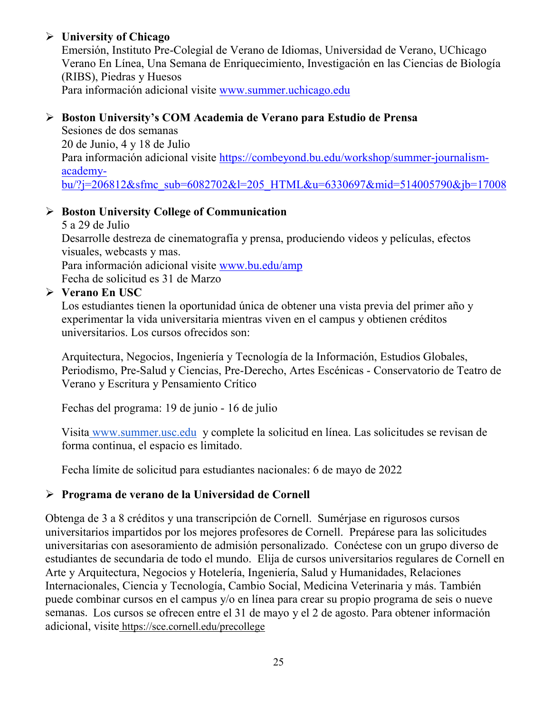#### **University of Chicago**

Emersión, Instituto Pre-Colegial de Verano de Idiomas, Universidad de Verano, UChicago Verano En Línea, Una Semana de Enriquecimiento, Investigación en las Ciencias de Biología (RIBS), Piedras y Huesos Para información adicional visite [www.summer.uchicago.edu](http://www.summer.uchicago.edu/)

#### **Boston University's COM Academia de Verano para Estudio de Prensa**

Sesiones de dos semanas 20 de Junio, 4 y 18 de Julio Para información adicional visite [https://combeyond.bu.edu/workshop/summer-journalism](https://combeyond.bu.edu/workshop/summer-journalism-academy-bu/?j=206812&sfmc_sub=6082702&l=205_HTML&u=6330697&mid=514005790&jb=17008)[academy](https://combeyond.bu.edu/workshop/summer-journalism-academy-bu/?j=206812&sfmc_sub=6082702&l=205_HTML&u=6330697&mid=514005790&jb=17008)[bu/?j=206812&sfmc\\_sub=6082702&l=205\\_HTML&u=6330697&mid=514005790&jb=17008](https://combeyond.bu.edu/workshop/summer-journalism-academy-bu/?j=206812&sfmc_sub=6082702&l=205_HTML&u=6330697&mid=514005790&jb=17008)

#### **Boston University College of Communication**

5 a 29 de Julio Desarrolle destreza de cinematografía y prensa, produciendo videos y películas, efectos visuales, webcasts y mas. Para información adicional visite [www.bu.edu/amp](http://www.bu.edu/amp) Fecha de solicitud es 31 de Marzo

#### **Verano En USC**

Los estudiantes tienen la oportunidad única de obtener una vista previa del primer año y experimentar la vida universitaria mientras viven en el campus y obtienen créditos universitarios. Los cursos ofrecidos son:

Arquitectura, Negocios, Ingeniería y Tecnología de la Información, Estudios Globales, Periodismo, Pre-Salud y Ciencias, Pre-Derecho, Artes Escénicas - Conservatorio de Teatro de Verano y Escritura y Pensamiento Crítico

Fechas del programa: 19 de junio - 16 de julio

Visita [www.summer.usc.edu](http://www.summer.usc.edu/) y complete la solicitud en línea. Las solicitudes se revisan de forma continua, el espacio es limitado.

Fecha límite de solicitud para estudiantes nacionales: 6 de mayo de 2022

#### **Programa de verano de la Universidad de Cornell**

Obtenga de 3 a 8 créditos y una transcripción de Cornell. Sumérjase en rigurosos cursos universitarios impartidos por los mejores profesores de Cornell. Prepárese para las solicitudes universitarias con asesoramiento de admisión personalizado. Conéctese con un grupo diverso de estudiantes de secundaria de todo el mundo. Elija de cursos universitarios regulares de Cornell en Arte y Arquitectura, Negocios y Hotelería, Ingeniería, Salud y Humanidades, Relaciones Internacionales, Ciencia y Tecnología, Cambio Social, Medicina Veterinaria y más. También puede combinar cursos en el campus y/o en línea para crear su propio programa de seis o nueve semanas. Los cursos se ofrecen entre el 31 de mayo y el 2 de agosto. Para obtener información adicional, visite <https://sce.cornell.edu/precollege>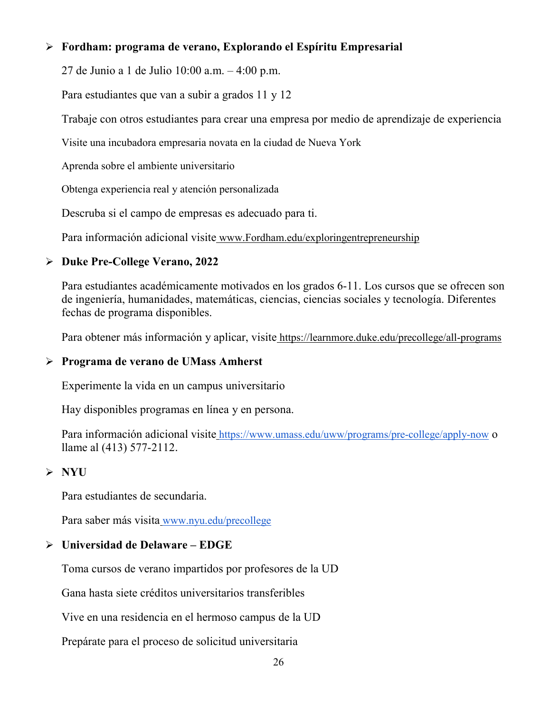#### **Fordham: programa de verano, Explorando el Espíritu Empresarial**

27 de Junio a 1 de Julio 10:00 a.m. – 4:00 p.m.

Para estudiantes que van a subir a grados 11 y 12

Trabaje con otros estudiantes para crear una empresa por medio de aprendizaje de experiencia

Visite una incubadora empresaria novata en la ciudad de Nueva York

Aprenda sobre el ambiente universitario

Obtenga experiencia real y atención personalizada

Descruba si el campo de empresas es adecuado para ti.

Para información adicional visite [www.Fordham.edu/exploringentrepreneurship](http://www.fordham.edu/exploringentrepreneurship)

#### **Duke Pre-College Verano, 2022**

Para estudiantes académicamente motivados en los grados 6-11. Los cursos que se ofrecen son de ingeniería, humanidades, matemáticas, ciencias, ciencias sociales y tecnología. Diferentes fechas de programa disponibles.

Para obtener más información y aplicar, visite <https://learnmore.duke.edu/precollege/all-programs>

#### **Programa de verano de UMass Amherst**

Experimente la vida en un campus universitario

Hay disponibles programas en línea y en persona.

Para información adicional visite <https://www.umass.edu/uww/programs/pre-college/apply-now> o llame al (413) 577-2112.

#### **NYU**

Para estudiantes de secundaria.

Para saber más visita [www.nyu.edu/precollege](http://www.nyu.edu/precollege)

#### **Universidad de Delaware – EDGE**

Toma cursos de verano impartidos por profesores de la UD

Gana hasta siete créditos universitarios transferibles

Vive en una residencia en el hermoso campus de la UD

Prepárate para el proceso de solicitud universitaria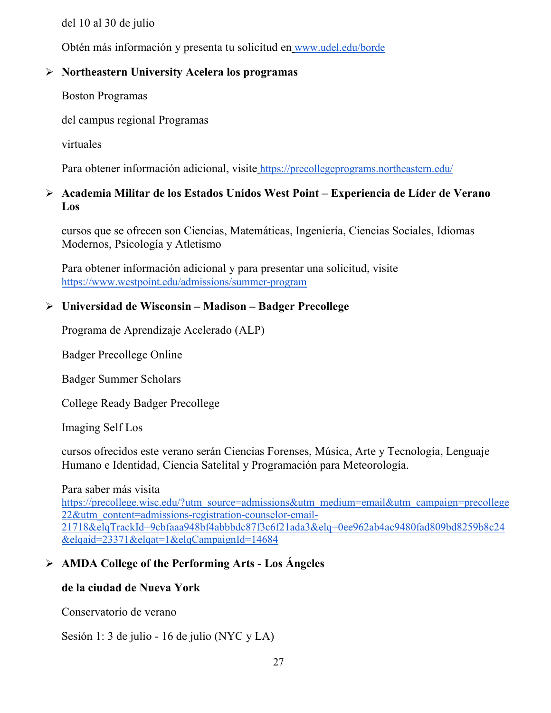del 10 al 30 de julio

Obtén más información y presenta tu solicitud en [www.udel.edu/borde](http://www.udel.edu/edge)

#### **Northeastern University Acelera los programas**

Boston Programas

del campus regional Programas

virtuales

Para obtener información adicional, visite <https://precollegeprograms.northeastern.edu/>

#### **Academia Militar de los Estados Unidos West Point – Experiencia de Líder de Verano Los**

cursos que se ofrecen son Ciencias, Matemáticas, Ingeniería, Ciencias Sociales, Idiomas Modernos, Psicología y Atletismo

Para obtener información adicional y para presentar una solicitud, visit[e](https://www.westpoint.edu/admissions/summer-program) <https://www.westpoint.edu/admissions/summer-program>

#### **Universidad de Wisconsin – Madison – Badger Precollege**

Programa de Aprendizaje Acelerado (ALP)

Badger Precollege Online

Badger Summer Scholars

College Ready Badger Precollege

Imaging Self Los

cursos ofrecidos este verano serán Ciencias Forenses, Música, Arte y Tecnología, Lenguaje Humano e Identidad, Ciencia Satelital y Programación para Meteorología.

#### Para saber más visit[a](https://precollege.wisc.edu/?utm_source=admissions&utm_medium=email&utm_campaign=precollege22&utm_content=admissions-registration-counselor-email-21718&elqTrackId=9cbfaaa948bf4abbbdc87f3c6f21ada3&elq=0ee962ab4ac9480fad809bd8259b8c24&elqaid=23371&elqat=1&elqCampaignId=14684)

[https://precollege.wisc.edu/?utm\\_source=admissions&utm\\_medium=email&utm\\_campaign=precollege](https://precollege.wisc.edu/?utm_source=admissions&utm_medium=email&utm_campaign=precollege22&utm_content=admissions-registration-counselor-email-21718&elqTrackId=9cbfaaa948bf4abbbdc87f3c6f21ada3&elq=0ee962ab4ac9480fad809bd8259b8c24&elqaid=23371&elqat=1&elqCampaignId=14684) [22&utm\\_content=admissions-registration-counselor-email-](https://precollege.wisc.edu/?utm_source=admissions&utm_medium=email&utm_campaign=precollege22&utm_content=admissions-registration-counselor-email-21718&elqTrackId=9cbfaaa948bf4abbbdc87f3c6f21ada3&elq=0ee962ab4ac9480fad809bd8259b8c24&elqaid=23371&elqat=1&elqCampaignId=14684)[21718&elqTrackId=9cbfaaa948bf4abbbdc87f3c6f21ada3&elq=0ee962ab4ac9480fad809bd8259b8c24](https://precollege.wisc.edu/?utm_source=admissions&utm_medium=email&utm_campaign=precollege22&utm_content=admissions-registration-counselor-email-21718&elqTrackId=9cbfaaa948bf4abbbdc87f3c6f21ada3&elq=0ee962ab4ac9480fad809bd8259b8c24&elqaid=23371&elqat=1&elqCampaignId=14684) [&elqaid=23371&elqat=1&elqCampaignId=14684](https://precollege.wisc.edu/?utm_source=admissions&utm_medium=email&utm_campaign=precollege22&utm_content=admissions-registration-counselor-email-21718&elqTrackId=9cbfaaa948bf4abbbdc87f3c6f21ada3&elq=0ee962ab4ac9480fad809bd8259b8c24&elqaid=23371&elqat=1&elqCampaignId=14684)

#### **AMDA College of the Performing Arts - Los Ángeles**

#### **de la ciudad de Nueva York**

Conservatorio de verano

Sesión 1: 3 de julio - 16 de julio (NYC y LA)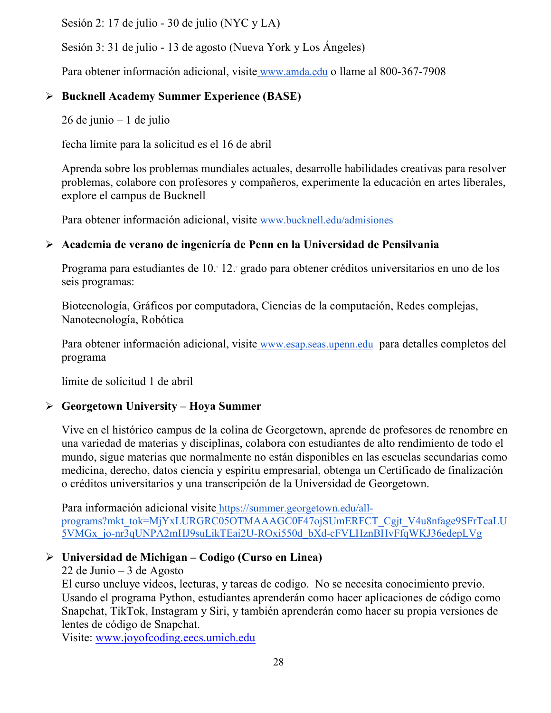Sesión 2: 17 de julio - 30 de julio (NYC y LA)

Sesión 3: 31 de julio - 13 de agosto (Nueva York y Los Ángeles)

Para obtener información adicional, visite [www.amda.edu](http://www.amda.edu/) o llame al 800-367-7908

#### **Bucknell Academy Summer Experience (BASE)**

26 de junio – 1 de julio

fecha límite para la solicitud es el 16 de abril

Aprenda sobre los problemas mundiales actuales, desarrolle habilidades creativas para resolver problemas, colabore con profesores y compañeros, experimente la educación en artes liberales, explore el campus de Bucknell

Para obtener información adicional, visite [www.bucknell.edu/admisiones](http://www.bucknell.edu/admissions)

#### **Academia de verano de ingeniería de Penn en la Universidad de Pensilvania**

Programa para estudiantes de 10.° 12.° grado para obtener créditos universitarios en uno de los seis programas:

Biotecnología, Gráficos por computadora, Ciencias de la computación, Redes complejas, Nanotecnología, Robótica

Para obtener información adicional, visite [www.esap.seas.upenn.edu](http://www.esap.seas.upenn.edu/) para detalles completos del programa

límite de solicitud 1 de abril

#### **Georgetown University – Hoya Summer**

Vive en el histórico campus de la colina de Georgetown, aprende de profesores de renombre en una variedad de materias y disciplinas, colabora con estudiantes de alto rendimiento de todo el mundo, sigue materias que normalmente no están disponibles en las escuelas secundarias como medicina, derecho, datos ciencia y espíritu empresarial, obtenga un Certificado de finalización o créditos universitarios y una transcripción de la Universidad de Georgetown.

Para información adicional visite [https://summer.georgetown.edu/all](https://summer.georgetown.edu/all-programs?mkt_tok=MjYxLURGRC05OTMAAAGC0F47ojSUmERFCT_Cgjt_V4u8nfage9SFrTcaLU5VMGx_jo-nr3qUNPA2mHJ9suLikTEai2U-ROxi550d_bXd-cFVLHznBHvFfqWKJ36edepLVg)[programs?mkt\\_tok=MjYxLURGRC05OTMAAAGC0F47ojSUmERFCT\\_Cgjt\\_V4u8nfage9SFrTcaLU](https://summer.georgetown.edu/all-programs?mkt_tok=MjYxLURGRC05OTMAAAGC0F47ojSUmERFCT_Cgjt_V4u8nfage9SFrTcaLU5VMGx_jo-nr3qUNPA2mHJ9suLikTEai2U-ROxi550d_bXd-cFVLHznBHvFfqWKJ36edepLVg) [5VMGx\\_jo-nr3qUNPA2mHJ9suLikTEai2U-ROxi550d\\_bXd-cFVLHznBHvFfqWKJ36edepLVg](https://summer.georgetown.edu/all-programs?mkt_tok=MjYxLURGRC05OTMAAAGC0F47ojSUmERFCT_Cgjt_V4u8nfage9SFrTcaLU5VMGx_jo-nr3qUNPA2mHJ9suLikTEai2U-ROxi550d_bXd-cFVLHznBHvFfqWKJ36edepLVg)

#### **Universidad de Michigan – Codigo (Curso en Linea)**

#### 22 de Junio – 3 de Agosto

El curso uncluye videos, lecturas, y tareas de codigo. No se necesita conocimiento previo. Usando el programa Python, estudiantes aprenderán como hacer aplicaciones de código como Snapchat, TikTok, Instagram y Siri, y también aprenderán como hacer su propia versiones de lentes de código de Snapchat.

Visite: [www.joyofcoding.eecs.umich.edu](http://www.joyofcoding.eecs.umich.edu/)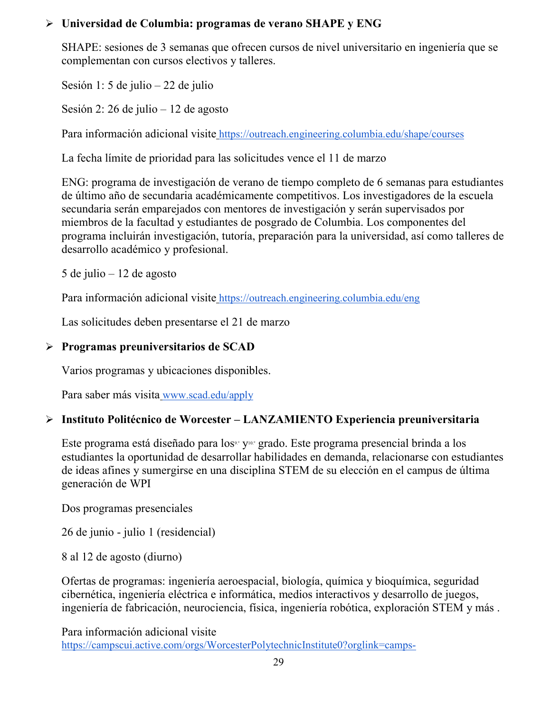#### **Universidad de Columbia: programas de verano SHAPE y ENG**

SHAPE: sesiones de 3 semanas que ofrecen cursos de nivel universitario en ingeniería que se complementan con cursos electivos y talleres.

Sesión 1: 5 de julio – 22 de julio

Sesión 2: 26 de julio – 12 de agosto

Para información adicional visite <https://outreach.engineering.columbia.edu/shape/courses>

La fecha límite de prioridad para las solicitudes vence el 11 de marzo

ENG: programa de investigación de verano de tiempo completo de 6 semanas para estudiantes de último año de secundaria académicamente competitivos. Los investigadores de la escuela secundaria serán emparejados con mentores de investigación y serán supervisados por miembros de la facultad y estudiantes de posgrado de Columbia. Los componentes del programa incluirán investigación, tutoría, preparación para la universidad, así como talleres de desarrollo académico y profesional.

5 de julio – 12 de agosto

Para información adicional visite <https://outreach.engineering.columbia.edu/eng>

Las solicitudes deben presentarse el 21 de marzo

#### **Programas preuniversitarios de SCAD**

Varios programas y ubicaciones disponibles.

Para saber más visita [www.scad.edu/apply](http://www.scad.edu/apply)

#### **Instituto Politécnico de Worcester – LANZAMIENTO Experiencia preuniversitaria**

Este programa está diseñado para los<sup>9.</sup> y<sup>10.</sup> grado. Este programa presencial brinda a los estudiantes la oportunidad de desarrollar habilidades en demanda, relacionarse con estudiantes de ideas afines y sumergirse en una disciplina STEM de su elección en el campus de última generación de WPI

Dos programas presenciales

26 de junio - julio 1 (residencial)

8 al 12 de agosto (diurno)

Ofertas de programas: ingeniería aeroespacial, biología, química y bioquímica, seguridad cibernética, ingeniería eléctrica e informática, medios interactivos y desarrollo de juegos, ingeniería de fabricación, neurociencia, física, ingeniería robótica, exploración STEM y más .

Para información adicional visit[e](https://campscui.active.com/orgs/WorcesterPolytechnicInstitute0?orglink=camps-registration&utm_source=marketing_cloud_email&utm_medium=February_28_2022&utm_campaign=UES_3060663&utm_mc_suscriber_id=19763436#/selectSessions/3096133)

[https://campscui.active.com/orgs/WorcesterPolytechnicInstitute0?orglink=camps-](https://campscui.active.com/orgs/WorcesterPolytechnicInstitute0?orglink=camps-registration&utm_source=marketing_cloud_email&utm_medium=February_28_2022&utm_campaign=UES_3060663&utm_mc_suscriber_id=19763436#/selectSessions/3096133)